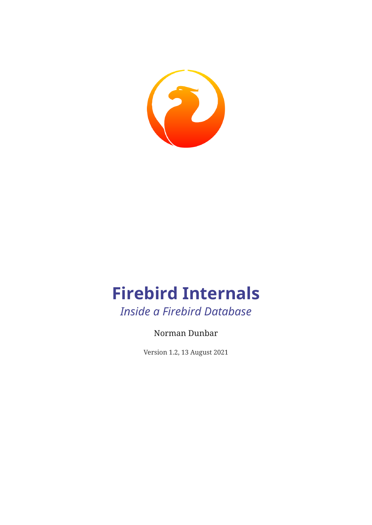

### **Firebird Internals** *Inside a Firebird Database*

### Norman Dunbar

Version 1.2, 13 August 2021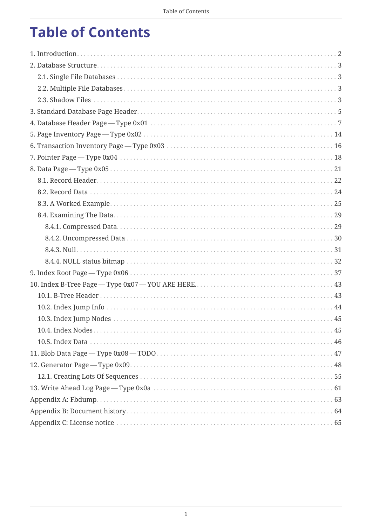## **Table of Contents**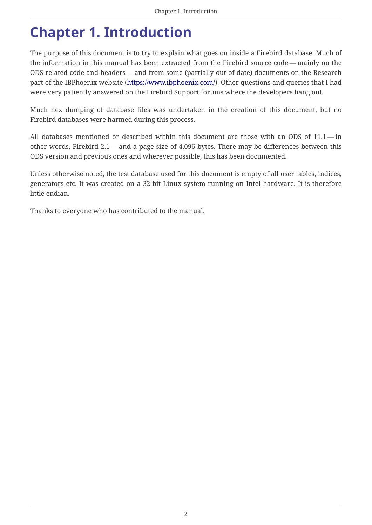## <span id="page-2-0"></span>**Chapter 1. Introduction**

The purpose of this document is to try to explain what goes on inside a Firebird database. Much of the information in this manual has been extracted from the Firebird source code — mainly on the ODS related code and headers — and from some (partially out of date) documents on the Research part of the IBPhoenix website [\(https://www.ibphoenix.com/](https://www.ibphoenix.com/)). Other questions and queries that I had were very patiently answered on the Firebird Support forums where the developers hang out.

Much hex dumping of database files was undertaken in the creation of this document, but no Firebird databases were harmed during this process.

All databases mentioned or described within this document are those with an ODS of 11.1 — in other words, Firebird 2.1 — and a page size of 4,096 bytes. There may be differences between this ODS version and previous ones and wherever possible, this has been documented.

Unless otherwise noted, the test database used for this document is empty of all user tables, indices, generators etc. It was created on a 32-bit Linux system running on Intel hardware. It is therefore little endian.

Thanks to everyone who has contributed to the manual.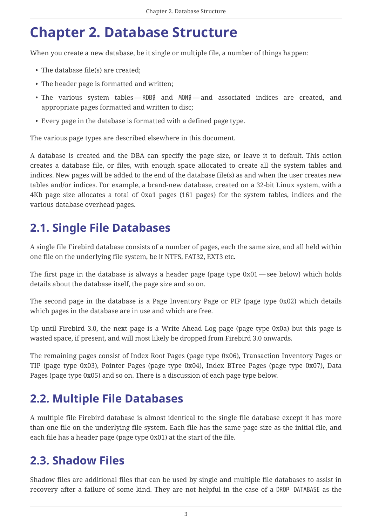## <span id="page-3-0"></span>**Chapter 2. Database Structure**

When you create a new database, be it single or multiple file, a number of things happen:

- The database file(s) are created;
- The header page is formatted and written;
- The various system tables RDB\$ and MON\$ and associated indices are created, and appropriate pages formatted and written to disc;
- Every page in the database is formatted with a defined page type.

The various page types are described elsewhere in this document.

A database is created and the DBA can specify the page size, or leave it to default. This action creates a database file, or files, with enough space allocated to create all the system tables and indices. New pages will be added to the end of the database file(s) as and when the user creates new tables and/or indices. For example, a brand-new database, created on a 32-bit Linux system, with a 4Kb page size allocates a total of 0xa1 pages (161 pages) for the system tables, indices and the various database overhead pages.

### <span id="page-3-1"></span>**2.1. Single File Databases**

A single file Firebird database consists of a number of pages, each the same size, and all held within one file on the underlying file system, be it NTFS, FAT32, EXT3 etc.

The first page in the database is always a header page (page type  $0x01$  — see below) which holds details about the database itself, the page size and so on.

The second page in the database is a Page Inventory Page or PIP (page type 0x02) which details which pages in the database are in use and which are free.

Up until Firebird 3.0, the next page is a Write Ahead Log page (page type 0x0a) but this page is wasted space, if present, and will most likely be dropped from Firebird 3.0 onwards.

The remaining pages consist of Index Root Pages (page type 0x06), Transaction Inventory Pages or TIP (page type 0x03), Pointer Pages (page type 0x04), Index BTree Pages (page type 0x07), Data Pages (page type 0x05) and so on. There is a discussion of each page type below.

### <span id="page-3-2"></span>**2.2. Multiple File Databases**

A multiple file Firebird database is almost identical to the single file database except it has more than one file on the underlying file system. Each file has the same page size as the initial file, and each file has a header page (page type 0x01) at the start of the file.

### <span id="page-3-3"></span>**2.3. Shadow Files**

Shadow files are additional files that can be used by single and multiple file databases to assist in recovery after a failure of some kind. They are not helpful in the case of a DROP DATABASE as the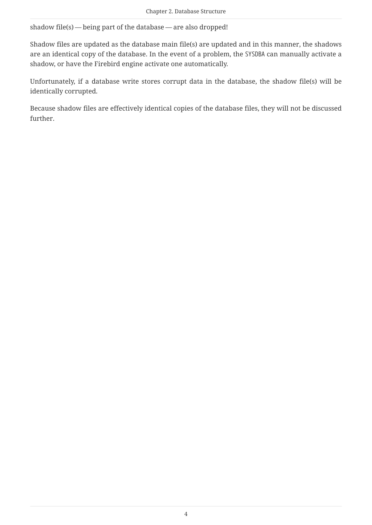shadow file(s) — being part of the database — are also dropped!

Shadow files are updated as the database main file(s) are updated and in this manner, the shadows are an identical copy of the database. In the event of a problem, the SYSDBA can manually activate a shadow, or have the Firebird engine activate one automatically.

Unfortunately, if a database write stores corrupt data in the database, the shadow file(s) will be identically corrupted.

Because shadow files are effectively identical copies of the database files, they will not be discussed further.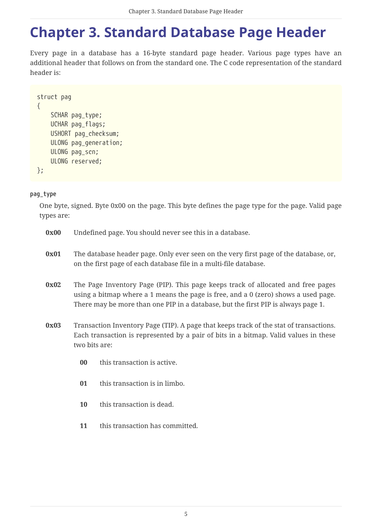## <span id="page-5-0"></span>**Chapter 3. Standard Database Page Header**

Every page in a database has a 16-byte standard page header. Various page types have an additional header that follows on from the standard one. The C code representation of the standard header is:

```
struct pag
{
      SCHAR pag_type;
      UCHAR pag_flags;
      USHORT pag_checksum;
      ULONG pag_generation;
      ULONG pag_scn;
      ULONG reserved;
};
```
#### **pag\_type**

One byte, signed. Byte 0x00 on the page. This byte defines the page type for the page. Valid page types are:

| 0x00 |                                                                                                                                                           | Undefined page. You should never see this in a database.                                                                                                                                                                                                    |  |  |  |  |  |  |  |
|------|-----------------------------------------------------------------------------------------------------------------------------------------------------------|-------------------------------------------------------------------------------------------------------------------------------------------------------------------------------------------------------------------------------------------------------------|--|--|--|--|--|--|--|
| 0x01 | The database header page. Only ever seen on the very first page of the database, or,<br>on the first page of each database file in a multi-file database. |                                                                                                                                                                                                                                                             |  |  |  |  |  |  |  |
| 0x02 |                                                                                                                                                           | The Page Inventory Page (PIP). This page keeps track of allocated and free pages<br>using a bitmap where a 1 means the page is free, and a 0 (zero) shows a used page.<br>There may be more than one PIP in a database, but the first PIP is always page 1. |  |  |  |  |  |  |  |
| 0x03 | two bits are:                                                                                                                                             | Transaction Inventory Page (TIP). A page that keeps track of the stat of transactions.<br>Each transaction is represented by a pair of bits in a bitmap. Valid values in these                                                                              |  |  |  |  |  |  |  |
|      | $00\,$                                                                                                                                                    | this transaction is active.                                                                                                                                                                                                                                 |  |  |  |  |  |  |  |
|      | 01<br>this transaction is in limbo.                                                                                                                       |                                                                                                                                                                                                                                                             |  |  |  |  |  |  |  |
|      | 10                                                                                                                                                        | this transaction is dead.                                                                                                                                                                                                                                   |  |  |  |  |  |  |  |

**11** this transaction has committed.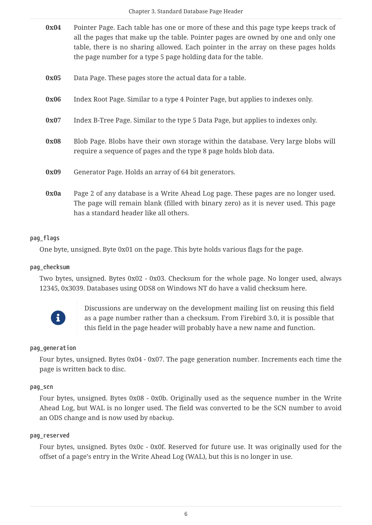| 0x04 | Pointer Page. Each table has one or more of these and this page type keeps track of |
|------|-------------------------------------------------------------------------------------|
|      | all the pages that make up the table. Pointer pages are owned by one and only one   |
|      | table, there is no sharing allowed. Each pointer in the array on these pages holds  |
|      | the page number for a type 5 page holding data for the table.                       |
|      |                                                                                     |

- **0x05** Data Page. These pages store the actual data for a table.
- **0x06** Index Root Page. Similar to a type 4 Pointer Page, but applies to indexes only.
- **0x07** Index B-Tree Page. Similar to the type 5 Data Page, but applies to indexes only.
- **0x08** Blob Page. Blobs have their own storage within the database. Very large blobs will require a sequence of pages and the type 8 page holds blob data.
- **0x09** Generator Page. Holds an array of 64 bit generators.
- **0x0a** Page 2 of any database is a Write Ahead Log page. These pages are no longer used. The page will remain blank (filled with binary zero) as it is never used. This page has a standard header like all others.

#### **pag\_flags**

One byte, unsigned. Byte 0x01 on the page. This byte holds various flags for the page.

#### **pag\_checksum**

Two bytes, unsigned. Bytes 0x02 - 0x03. Checksum for the whole page. No longer used, always 12345, 0x3039. Databases using ODS8 on Windows NT do have a valid checksum here.



Discussions are underway on the development mailing list on reusing this field as a page number rather than a checksum. From Firebird 3.0, it is possible that this field in the page header will probably have a new name and function.

#### **pag\_generation**

Four bytes, unsigned. Bytes 0x04 - 0x07. The page generation number. Increments each time the page is written back to disc.

#### **pag\_scn**

Four bytes, unsigned. Bytes 0x08 - 0x0b. Originally used as the sequence number in the Write Ahead Log, but WAL is no longer used. The field was converted to be the SCN number to avoid an ODS change and is now used by nbackup.

#### **pag\_reserved**

Four bytes, unsigned. Bytes 0x0c - 0x0f. Reserved for future use. It was originally used for the offset of a page's entry in the Write Ahead Log (WAL), but this is no longer in use.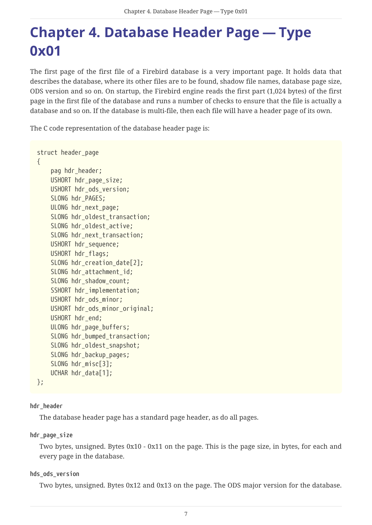## <span id="page-7-0"></span>**Chapter 4. Database Header Page — Type 0x01**

The first page of the first file of a Firebird database is a very important page. It holds data that describes the database, where its other files are to be found, shadow file names, database page size, ODS version and so on. On startup, the Firebird engine reads the first part (1,024 bytes) of the first page in the first file of the database and runs a number of checks to ensure that the file is actually a database and so on. If the database is multi-file, then each file will have a header page of its own.

The C code representation of the database header page is:

```
struct header_page
{
      pag hdr_header;
      USHORT hdr_page_size;
      USHORT hdr_ods_version;
    SLONG hdr PAGES;
      ULONG hdr_next_page;
    SLONG hdr oldest transaction;
    SLONG hdr oldest active;
      SLONG hdr_next_transaction;
      USHORT hdr_sequence;
      USHORT hdr_flags;
    SLONG hdr creation date[2];
    SLONG hdr attachment id;
    SLONG hdr shadow count;
    SSHORT hdr implementation;
      USHORT hdr_ods_minor;
    USHORT hdr_ods_minor_original;
      USHORT hdr_end;
      ULONG hdr_page_buffers;
      SLONG hdr_bumped_transaction;
      SLONG hdr_oldest_snapshot;
      SLONG hdr_backup_pages;
    SLONG hdr misc[3];
      UCHAR hdr_data[1];
};
```
#### **hdr\_header**

The database header page has a standard page header, as do all pages.

**hdr\_page\_size**

Two bytes, unsigned. Bytes 0x10 - 0x11 on the page. This is the page size, in bytes, for each and every page in the database.

#### **hds\_ods\_version**

Two bytes, unsigned. Bytes 0x12 and 0x13 on the page. The ODS major version for the database.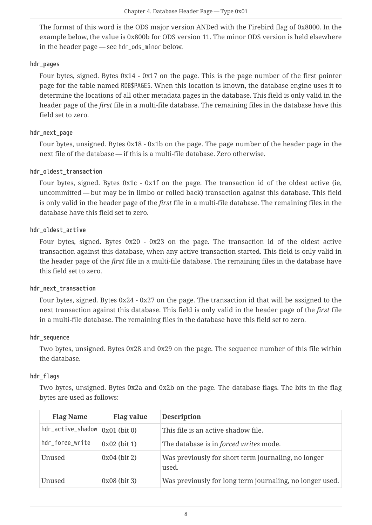The format of this word is the ODS major version ANDed with the Firebird flag of 0x8000. In the example below, the value is 0x800b for ODS version 11. The minor ODS version is held elsewhere in the header page — see hdrods minor below.

#### **hdr\_pages**

Four bytes, signed. Bytes 0x14 - 0x17 on the page. This is the page number of the first pointer page for the table named RDB\$PAGES. When this location is known, the database engine uses it to determine the locations of all other metadata pages in the database. This field is only valid in the header page of the *first* file in a multi-file database. The remaining files in the database have this field set to zero.

#### **hdr\_next\_page**

Four bytes, unsigned. Bytes 0x18 - 0x1b on the page. The page number of the header page in the next file of the database — if this is a multi-file database. Zero otherwise.

#### **hdr\_oldest\_transaction**

Four bytes, signed. Bytes 0x1c - 0x1f on the page. The transaction id of the oldest active (ie, uncommitted — but may be in limbo or rolled back) transaction against this database. This field is only valid in the header page of the *first* file in a multi-file database. The remaining files in the database have this field set to zero.

#### **hdr\_oldest\_active**

Four bytes, signed. Bytes 0x20 - 0x23 on the page. The transaction id of the oldest active transaction against this database, when any active transaction started. This field is only valid in the header page of the *first* file in a multi-file database. The remaining files in the database have this field set to zero.

#### **hdr\_next\_transaction**

Four bytes, signed. Bytes 0x24 - 0x27 on the page. The transaction id that will be assigned to the next transaction against this database. This field is only valid in the header page of the *first* file in a multi-file database. The remaining files in the database have this field set to zero.

#### **hdr\_sequence**

Two bytes, unsigned. Bytes 0x28 and 0x29 on the page. The sequence number of this file within the database.

#### **hdr\_flags**

Two bytes, unsigned. Bytes 0x2a and 0x2b on the page. The database flags. The bits in the flag bytes are used as follows:

| <b>Flag Name</b>                          | Flag value     | <b>Description</b>                                           |
|-------------------------------------------|----------------|--------------------------------------------------------------|
| $hdr$ _active_shadow $\vert 0x01$ (bit 0) |                | This file is an active shadow file.                          |
| hdr_force_write                           | $0x02$ (bit 1) | The database is in <i>forced writes</i> mode.                |
| Unused                                    | $0x04$ (bit 2) | Was previously for short term journaling, no longer<br>used. |
| Unused                                    | $0x08$ (bit 3) | Was previously for long term journaling, no longer used.     |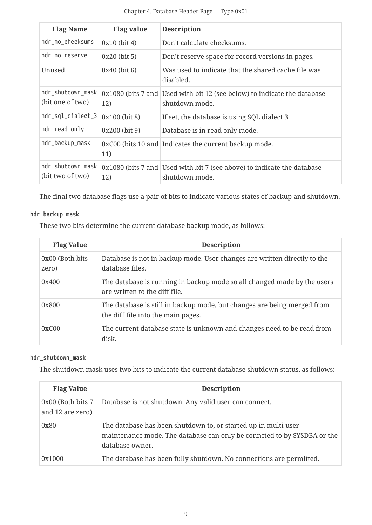| <b>Flag Name</b>                      | <b>Flag value</b> | <b>Description</b>                                                                         |
|---------------------------------------|-------------------|--------------------------------------------------------------------------------------------|
| hdr_no_checksums                      | $0x10$ (bit 4)    | Don't calculate checksums.                                                                 |
| hdr_no_reserve                        | $0x20$ (bit 5)    | Don't reserve space for record versions in pages.                                          |
| Unused                                | $0x40$ (bit 6)    | Was used to indicate that the shared cache file was<br>disabled.                           |
| hdr_shutdown_mask<br>(bit one of two) | 12)               | 0x1080 (bits 7 and Used with bit 12 (see below) to indicate the database<br>shutdown mode. |
| hdr_sql_dialect_3                     | 0x100 (bit 8)     | If set, the database is using SQL dialect 3.                                               |
| hdr_read_only                         | $0x200$ (bit 9)   | Database is in read only mode.                                                             |
| hdr_backup_mask                       | 11)               | 0xC00 (bits 10 and Indicates the current backup mode.                                      |
| hdr_shutdown_mask<br>(bit two of two) | 12)               | 0x1080 (bits 7 and Used with bit 7 (see above) to indicate the database<br>shutdown mode.  |

The final two database flags use a pair of bits to indicate various states of backup and shutdown.

#### **hdr\_backup\_mask**

These two bits determine the current database backup mode, as follows:

| <b>Flag Value</b>         | <b>Description</b>                                                                                            |
|---------------------------|---------------------------------------------------------------------------------------------------------------|
| 0x00 (Both bits)<br>zero) | Database is not in backup mode. User changes are written directly to the<br>database files.                   |
| 0x400                     | The database is running in backup mode so all changed made by the users<br>are written to the diff file.      |
| 0x800                     | The database is still in backup mode, but changes are being merged from<br>the diff file into the main pages. |
| 0xC00                     | The current database state is unknown and changes need to be read from<br>disk.                               |

#### **hdr\_shutdown\_mask**

The shutdown mask uses two bits to indicate the current database shutdown status, as follows:

| <b>Flag Value</b>                      | <b>Description</b>                                                                                                                                           |
|----------------------------------------|--------------------------------------------------------------------------------------------------------------------------------------------------------------|
| 0x00 (Both bits 7)<br>and 12 are zero) | Database is not shutdown. Any valid user can connect.                                                                                                        |
| 0x80                                   | The database has been shutdown to, or started up in multi-user<br>maintenance mode. The database can only be conncted to by SYSDBA or the<br>database owner. |
| 0x1000                                 | The database has been fully shutdown. No connections are permitted.                                                                                          |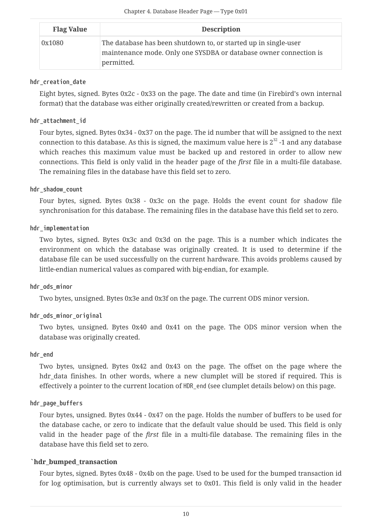| <b>Flag Value</b> | <b>Description</b>                                                                                                                                 |  |  |  |  |  |  |
|-------------------|----------------------------------------------------------------------------------------------------------------------------------------------------|--|--|--|--|--|--|
| 0x1080            | The database has been shutdown to, or started up in single-user<br>maintenance mode. Only one SYSDBA or database owner connection is<br>permitted. |  |  |  |  |  |  |

#### **hdr\_creation\_date**

Eight bytes, signed. Bytes 0x2c - 0x33 on the page. The date and time (in Firebird's own internal format) that the database was either originally created/rewritten or created from a backup.

#### **hdr\_attachment\_id**

Four bytes, signed. Bytes 0x34 - 0x37 on the page. The id number that will be assigned to the next connection to this database. As this is signed, the maximum value here is  $2^{32}$  -1 and any database which reaches this maximum value must be backed up and restored in order to allow new connections. This field is only valid in the header page of the *first* file in a multi-file database. The remaining files in the database have this field set to zero.

#### **hdr\_shadow\_count**

Four bytes, signed. Bytes 0x38 - 0x3c on the page. Holds the event count for shadow file synchronisation for this database. The remaining files in the database have this field set to zero.

#### **hdr\_implementation**

Two bytes, signed. Bytes 0x3c and 0x3d on the page. This is a number which indicates the environment on which the database was originally created. It is used to determine if the database file can be used successfully on the current hardware. This avoids problems caused by little-endian numerical values as compared with big-endian, for example.

#### **hdr\_ods\_minor**

Two bytes, unsigned. Bytes 0x3e and 0x3f on the page. The current ODS minor version.

#### **hdr\_ods\_minor\_original**

Two bytes, unsigned. Bytes 0x40 and 0x41 on the page. The ODS minor version when the database was originally created.

#### **hdr\_end**

Two bytes, unsigned. Bytes 0x42 and 0x43 on the page. The offset on the page where the hdr data finishes. In other words, where a new clumplet will be stored if required. This is effectively a pointer to the current location of HDR\_end (see clumplet details below) on this page.

#### **hdr\_page\_buffers**

Four bytes, unsigned. Bytes 0x44 - 0x47 on the page. Holds the number of buffers to be used for the database cache, or zero to indicate that the default value should be used. This field is only valid in the header page of the *first* file in a multi-file database. The remaining files in the database have this field set to zero.

#### **`hdr\_bumped\_transaction**

Four bytes, signed. Bytes 0x48 - 0x4b on the page. Used to be used for the bumped transaction id for log optimisation, but is currently always set to 0x01. This field is only valid in the header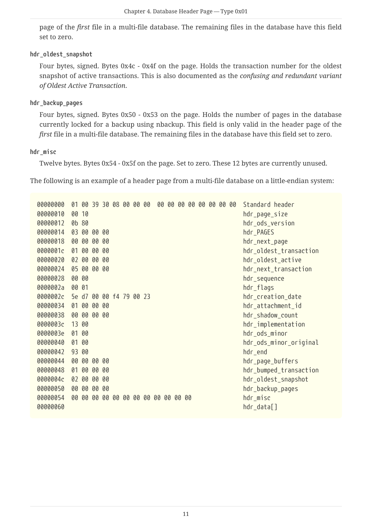page of the *first* file in a multi-file database. The remaining files in the database have this field set to zero.

#### **hdr\_oldest\_snapshot**

Four bytes, signed. Bytes 0x4c - 0x4f on the page. Holds the transaction number for the oldest snapshot of active transactions. This is also documented as the *confusing and redundant variant of Oldest Active Transaction*.

#### **hdr\_backup\_pages**

Four bytes, signed. Bytes 0x50 - 0x53 on the page. Holds the number of pages in the database currently locked for a backup using nbackup. This field is only valid in the header page of the *first* file in a multi-file database. The remaining files in the database have this field set to zero.

#### **hdr\_misc**

Twelve bytes. Bytes 0x54 - 0x5f on the page. Set to zero. These 12 bytes are currently unused.

The following is an example of a header page from a multi-file database on a little-endian system:

| 00000000 | 01    |          |    |     | 00 39 30 08 00 00 00 |  | 00                                  | 00 00 | 00 |  | 00 00 00 00 | Standard header        |
|----------|-------|----------|----|-----|----------------------|--|-------------------------------------|-------|----|--|-------------|------------------------|
| 00000010 | 00 10 |          |    |     |                      |  |                                     |       |    |  |             | hdr_page_size          |
| 00000012 | 0b 80 |          |    |     |                      |  |                                     |       |    |  |             | hdr_ods_version        |
| 00000014 |       | 03 00 00 |    | -00 |                      |  |                                     |       |    |  |             | hdr_PAGES              |
| 00000018 | 00    | 00       | 00 | 00  |                      |  |                                     |       |    |  |             | hdr_next_page          |
| 0000001c | 01    | 00       | 00 | 00  |                      |  |                                     |       |    |  |             | hdr_oldest_transaction |
| 00000020 |       | 02 00    | 00 | 00  |                      |  |                                     |       |    |  |             | hdr_oldest_active      |
| 00000024 |       | 05 00    | 00 | 00  |                      |  |                                     |       |    |  |             | hdr_next_transaction   |
| 00000028 | 00 00 |          |    |     |                      |  |                                     |       |    |  |             | hdr_sequence           |
| 0000002a | 00 01 |          |    |     |                      |  |                                     |       |    |  |             | hdr_flags              |
| 0000002c | 5e d7 |          |    |     | 00 00 f4 79 00 23    |  |                                     |       |    |  |             | hdr_creation_date      |
| 00000034 |       | 01 00 00 |    | 00  |                      |  |                                     |       |    |  |             | hdr_attachment_id      |
| 00000038 |       | 00 00    | 00 | 00  |                      |  |                                     |       |    |  |             | hdr_shadow_count       |
| 0000003c | 13 00 |          |    |     |                      |  |                                     |       |    |  |             | hdr_implementation     |
| 0000003e | 01    | 00       |    |     |                      |  |                                     |       |    |  |             | hdr_ods_minor          |
| 00000040 | 01 00 |          |    |     |                      |  |                                     |       |    |  |             | hdr_ods_minor_original |
| 00000042 | 93 00 |          |    |     |                      |  |                                     |       |    |  |             | hdr_end                |
| 00000044 |       | 00 00    | 00 | 00  |                      |  |                                     |       |    |  |             | hdr_page_buffers       |
| 00000048 | 01    | 00       | 00 | 00  |                      |  |                                     |       |    |  |             | hdr_bumped_transaction |
| 0000004c | 02    | 00       | 00 | 00  |                      |  |                                     |       |    |  |             | hdr_oldest_snapshot    |
| 00000050 | 00    | 00       | 00 | 00  |                      |  |                                     |       |    |  |             | hdr_backup_pages       |
| 00000054 |       |          |    |     |                      |  | 00 00 00 00 00 00 00 00 00 00 00 00 |       |    |  |             | hdr_misc               |
| 00000060 |       |          |    |     |                      |  |                                     |       |    |  |             | hdr_data[]             |
|          |       |          |    |     |                      |  |                                     |       |    |  |             |                        |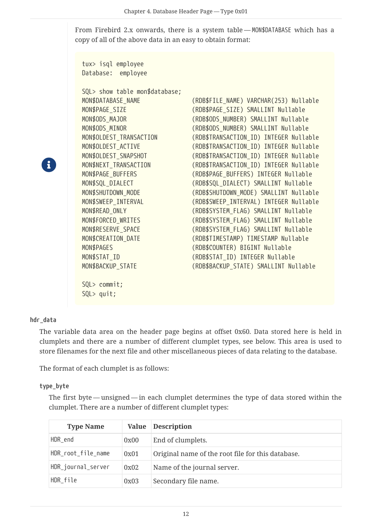From Firebird 2.x onwards, there is a system table — MON\$DATABASE which has a copy of all of the above data in an easy to obtain format:

tux> isql employee Database: employee

SQL> show table mon\$database; MON\$PAGES (RDB\$COUNTER) BIGINT Nullable

MON\$DATABASE\_NAME (RDB\$FILE\_NAME) VARCHAR(253) Nullable MON\$PAGE\_SIZE (RDB\$PAGE\_SIZE) SMALLINT Nullable MON\$ODS\_MAJOR (RDB\$ODS\_NUMBER) SMALLINT Nullable MON\$ODS MINOR (RDB\$ODS NUMBER) SMALLINT Nullable MON\$OLDEST\_TRANSACTION (RDB\$TRANSACTION\_ID) INTEGER Nullable MON\$OLDEST ACTIVE (RDB\$TRANSACTION ID) INTEGER Nullable MON\$OLDEST\_SNAPSHOT (RDB\$TRANSACTION\_ID) INTEGER Nullable MON\$NEXT\_TRANSACTION (RDB\$TRANSACTION\_ID) INTEGER Nullable MON\$PAGE\_BUFFERS (RDB\$PAGE\_BUFFERS) INTEGER Nullable MON\$SQL\_DIALECT (RDB\$SQL\_DIALECT) SMALLINT Nullable MON\$SHUTDOWN\_MODE (RDB\$SHUTDOWN\_MODE) SMALLINT Nullable MON\$SWEEP\_INTERVAL (RDB\$SWEEP\_INTERVAL) INTEGER Nullable MON\$READ\_ONLY (RDB\$SYSTEM\_FLAG) SMALLINT Nullable MON\$FORCED\_WRITES (RDB\$SYSTEM\_FLAG) SMALLINT Nullable MON\$RESERVE SPACE (RDB\$SYSTEM\_FLAG) SMALLINT Nullable MON\$CREATION DATE (RDB\$TIMESTAMP) TIMESTAMP Nullable MON\$STAT\_ID (RDB\$STAT\_ID) INTEGER Nullable MON\$BACKUP\_STATE (RDB\$BACKUP\_STATE) SMALLINT Nullable

8

#### **hdr\_data**

The variable data area on the header page begins at offset 0x60. Data stored here is held in clumplets and there are a number of different clumplet types, see below. This area is used to store filenames for the next file and other miscellaneous pieces of data relating to the database.

The format of each clumplet is as follows:

SQL> commit; SQL> quit;

#### **type\_byte**

The first byte — unsigned — in each clumplet determines the type of data stored within the clumplet. There are a number of different clumplet types:

| <b>Type Name</b>   |      | Value Description                                 |
|--------------------|------|---------------------------------------------------|
| HDR_end            | 0x00 | End of clumplets.                                 |
| HDR_root_file_name | 0x01 | Original name of the root file for this database. |
| HDR_journal_server | 0x02 | Name of the journal server.                       |
| HDR file           | 0x03 | Secondary file name.                              |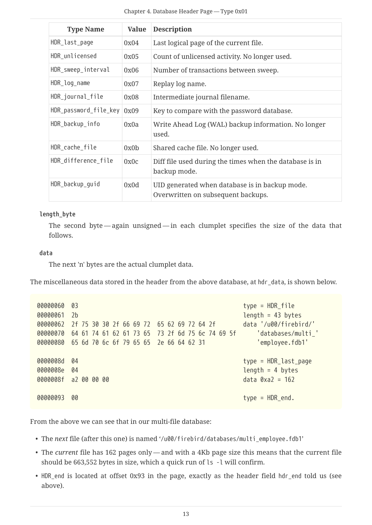| <b>Type Name</b>                  | <b>Value</b> | <b>Description</b>                                                                   |
|-----------------------------------|--------------|--------------------------------------------------------------------------------------|
| HDR_last_page                     | 0x04         | Last logical page of the current file.                                               |
| HDR_unlicensed                    | 0x05         | Count of unlicensed activity. No longer used.                                        |
| HDR_sweep_interval                | 0x06         | Number of transactions between sweep.                                                |
| HDR_log_name                      | 0x07         | Replay log name.                                                                     |
| HDR_journal_file                  | 0x08         | Intermediate journal filename.                                                       |
| $HDR_p$ assword_file_key $\log 9$ |              | Key to compare with the password database.                                           |
| HDR_backup_info                   | 0x0a         | Write Ahead Log (WAL) backup information. No longer<br>used.                         |
| HDR_cache_file                    | 0x0b         | Shared cache file. No longer used.                                                   |
| HDR_difference_file               | 0x0c         | Diff file used during the times when the database is in<br>backup mode.              |
| HDR_backup_guid                   | 0x0d         | UID generated when database is in backup mode.<br>Overwritten on subsequent backups. |

#### **length\_byte**

The second byte — again unsigned — in each clumplet specifies the size of the data that follows.

#### **data**

The next 'n' bytes are the actual clumplet data.

The miscellaneous data stored in the header from the above database, at hdr\_data, is shown below.

| 00000060 | 03                                              | $type = HDR_file$           |
|----------|-------------------------------------------------|-----------------------------|
| 00000061 | 2 <sub>b</sub>                                  | $length = 43 bytes$         |
| 00000062 | 2f 75 30 30 2f 66 69 72 65 62 69 72 64 2f       | data '/u00/firebird/'       |
| 00000070 | 64 61 74 61 62 61 73 65 73 2f 6d 75 6c 74 69 5f | 'databases/multi '          |
| 00000080 | 65 6d 70 6c 6f 79 65 65 2e 66 64 62 31          | 'employee.fdb1'             |
|          |                                                 |                             |
| 0000008d | 04                                              | $type = HDR_last_page$      |
| 0000008e | 04                                              | length = $4$ bytes          |
|          | 0000008f a2 00 00 00                            | $data \, 0 \times a2 = 162$ |
|          |                                                 |                             |
| 00000093 | 00                                              | $type = HDR\_end.$          |
|          |                                                 |                             |

From the above we can see that in our multi-file database:

- The *next* file (after this one) is named '/u00/firebird/databases/multi\_employee.fdb1'
- The *current* file has 162 pages only and with a 4Kb page size this means that the current file should be 663,552 bytes in size, which a quick run of ls -l will confirm.
- HDR\_end is located at offset 0x93 in the page, exactly as the header field hdr\_end told us (see above).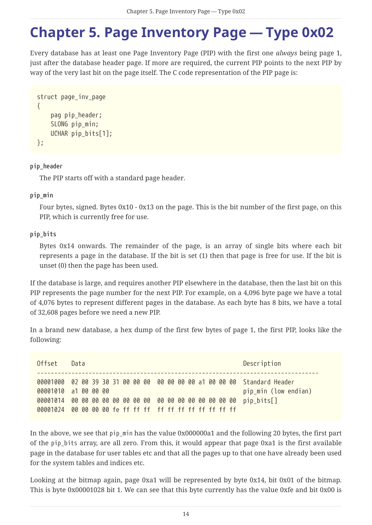## <span id="page-14-0"></span>**Chapter 5. Page Inventory Page — Type 0x02**

Every database has at least one Page Inventory Page (PIP) with the first one *always* being page 1, just after the database header page. If more are required, the current PIP points to the next PIP by way of the very last bit on the page itself. The C code representation of the PIP page is:

```
struct page_inv_page
{
    pag pip header;
      SLONG pip_min;
      UCHAR pip_bits[1];
};
```
**pip\_header**

The PIP starts off with a standard page header.

#### **pip\_min**

Four bytes, signed. Bytes 0x10 - 0x13 on the page. This is the bit number of the first page, on this PIP, which is currently free for use.

#### **pip\_bits**

Bytes 0x14 onwards. The remainder of the page, is an array of single bits where each bit represents a page in the database. If the bit is set (1) then that page is free for use. If the bit is unset (0) then the page has been used.

If the database is large, and requires another PIP elsewhere in the database, then the last bit on this PIP represents the page number for the next PIP. For example, on a 4,096 byte page we have a total of 4,076 bytes to represent different pages in the database. As each byte has 8 bits, we have a total of 32,608 pages before we need a new PIP.

In a brand new database, a hex dump of the first few bytes of page 1, the first PIP, looks like the following:

| Offset | Data                                                                                             | Description          |
|--------|--------------------------------------------------------------------------------------------------|----------------------|
|        | 00001000 02 00 39 30 31 00 00 00 00 00 00 00 a1 00 00 00 Standard Header<br>00001010 a1 00 00 00 | pip_min (low endian) |
|        |                                                                                                  |                      |

In the above, we see that pip min has the value 0x000000a1 and the following 20 bytes, the first part of the pip\_bits array, are all zero. From this, it would appear that page 0xa1 is the first available page in the database for user tables etc and that all the pages up to that one have already been used for the system tables and indices etc.

Looking at the bitmap again, page 0xa1 will be represented by byte 0x14, bit 0x01 of the bitmap. This is byte 0x00001028 bit 1. We can see that this byte currently has the value 0xfe and bit 0x00 is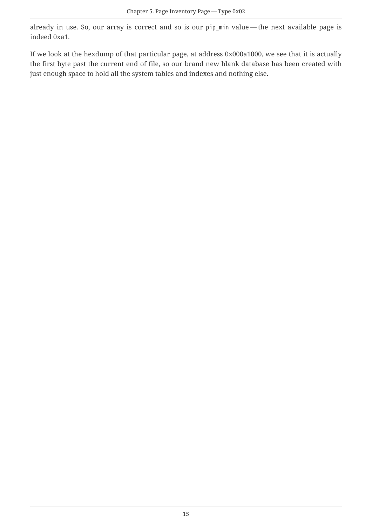already in use. So, our array is correct and so is our pip\_min value — the next available page is indeed 0xa1.

If we look at the hexdump of that particular page, at address 0x000a1000, we see that it is actually the first byte past the current end of file, so our brand new blank database has been created with just enough space to hold all the system tables and indexes and nothing else.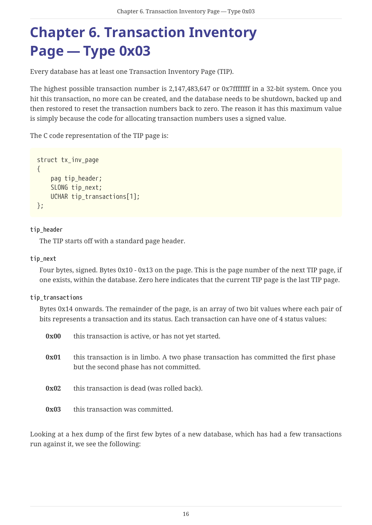# <span id="page-16-0"></span>**Chapter 6. Transaction Inventory Page — Type 0x03**

Every database has at least one Transaction Inventory Page (TIP).

The highest possible transaction number is 2,147,483,647 or 0x7fffffff in a 32-bit system. Once you hit this transaction, no more can be created, and the database needs to be shutdown, backed up and then restored to reset the transaction numbers back to zero. The reason it has this maximum value is simply because the code for allocating transaction numbers uses a signed value.

The C code representation of the TIP page is:

```
struct tx_inv_page
{
      pag tip_header;
      SLONG tip_next;
      UCHAR tip_transactions[1];
};
```
#### **tip\_header**

The TIP starts off with a standard page header.

#### **tip\_next**

Four bytes, signed. Bytes 0x10 - 0x13 on the page. This is the page number of the next TIP page, if one exists, within the database. Zero here indicates that the current TIP page is the last TIP page.

#### **tip\_transactions**

Bytes 0x14 onwards. The remainder of the page, is an array of two bit values where each pair of bits represents a transaction and its status. Each transaction can have one of 4 status values:

| 0x00 | this transaction is active, or has not yet started.                                                                            |
|------|--------------------------------------------------------------------------------------------------------------------------------|
| 0x01 | this transaction is in limbo. A two phase transaction has committed the first phase<br>but the second phase has not committed. |
| 0x02 | this transaction is dead (was rolled back).                                                                                    |
| 0x03 | this transaction was committed.                                                                                                |

Looking at a hex dump of the first few bytes of a new database, which has had a few transactions run against it, we see the following: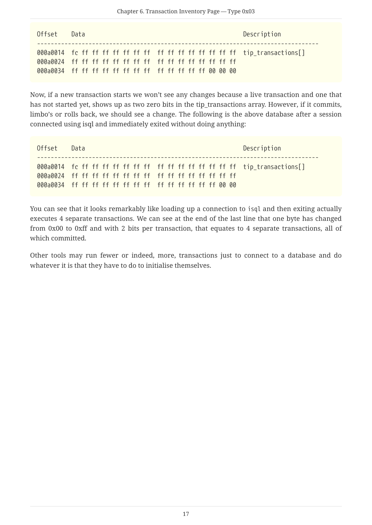| Offset | Description<br>Data |  |
|--------|---------------------|--|
|        |                     |  |

Now, if a new transaction starts we won't see any changes because a live transaction and one that has not started yet, shows up as two zero bits in the tip\_transactions array. However, if it commits, limbo's or rolls back, we should see a change. The following is the above database after a session connected using isql and immediately exited without doing anything:

| Offset | Data | Description |
|--------|------|-------------|
|        |      |             |
|        |      |             |

You can see that it looks remarkably like loading up a connection to isql and then exiting actually executes 4 separate transactions. We can see at the end of the last line that one byte has changed from 0x00 to 0xff and with 2 bits per transaction, that equates to 4 separate transactions, all of which committed.

Other tools may run fewer or indeed, more, transactions just to connect to a database and do whatever it is that they have to do to initialise themselves.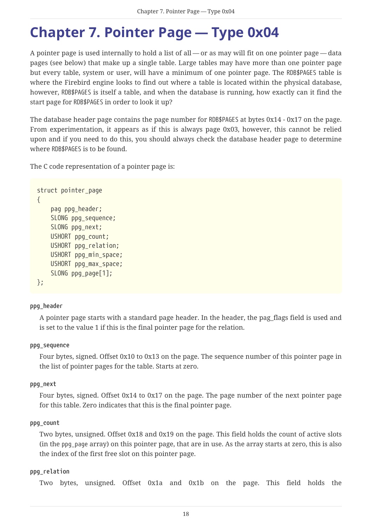## <span id="page-18-0"></span>**Chapter 7. Pointer Page — Type 0x04**

A pointer page is used internally to hold a list of all — or as may will fit on one pointer page — data pages (see below) that make up a single table. Large tables may have more than one pointer page but every table, system or user, will have a minimum of one pointer page. The RDB\$PAGES table is where the Firebird engine looks to find out where a table is located within the physical database, however, RDB\$PAGES is itself a table, and when the database is running, how exactly can it find the start page for RDB\$PAGES in order to look it up?

The database header page contains the page number for RDB\$PAGES at bytes 0x14 - 0x17 on the page. From experimentation, it appears as if this is always page 0x03, however, this cannot be relied upon and if you need to do this, you should always check the database header page to determine where RDB\$PAGES is to be found.

The C code representation of a pointer page is:

```
struct pointer_page
{
      pag ppg_header;
      SLONG ppg_sequence;
      SLONG ppg_next;
      USHORT ppg_count;
      USHORT ppg_relation;
      USHORT ppg_min_space;
      USHORT ppg_max_space;
      SLONG ppg_page[1];
};
```
#### **ppg\_header**

A pointer page starts with a standard page header. In the header, the pag\_flags field is used and is set to the value 1 if this is the final pointer page for the relation.

#### **ppg\_sequence**

Four bytes, signed. Offset 0x10 to 0x13 on the page. The sequence number of this pointer page in the list of pointer pages for the table. Starts at zero.

#### **ppg\_next**

Four bytes, signed. Offset 0x14 to 0x17 on the page. The page number of the next pointer page for this table. Zero indicates that this is the final pointer page.

#### **ppg\_count**

Two bytes, unsigned. Offset 0x18 and 0x19 on the page. This field holds the count of active slots (in the ppg\_page array) on this pointer page, that are in use. As the array starts at zero, this is also the index of the first free slot on this pointer page.

#### **ppg\_relation**

Two bytes, unsigned. Offset 0x1a and 0x1b on the page. This field holds the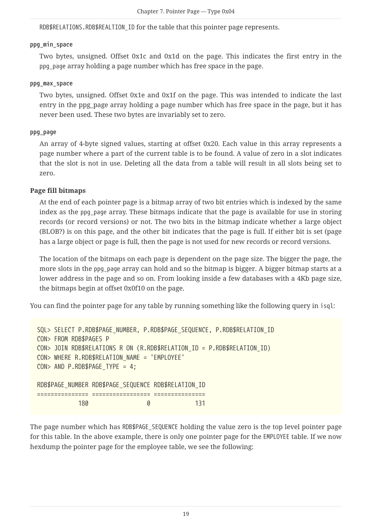RDB\$RELATIONS.RDB\$REALTION\_ID for the table that this pointer page represents.

#### **ppg\_min\_space**

Two bytes, unsigned. Offset 0x1c and 0x1d on the page. This indicates the first entry in the ppg\_page array holding a page number which has free space in the page.

#### **ppg\_max\_space**

Two bytes, unsigned. Offset 0x1e and 0x1f on the page. This was intended to indicate the last entry in the ppg page array holding a page number which has free space in the page, but it has never been used. These two bytes are invariably set to zero.

#### **ppg\_page**

An array of 4-byte signed values, starting at offset 0x20. Each value in this array represents a page number where a part of the current table is to be found. A value of zero in a slot indicates that the slot is not in use. Deleting all the data from a table will result in all slots being set to zero.

#### **Page fill bitmaps**

At the end of each pointer page is a bitmap array of two bit entries which is indexed by the same index as the ppg\_page array. These bitmaps indicate that the page is available for use in storing records (or record versions) or not. The two bits in the bitmap indicate whether a large object (BLOB?) is on this page, and the other bit indicates that the page is full. If either bit is set (page has a large object or page is full, then the page is not used for new records or record versions.

The location of the bitmaps on each page is dependent on the page size. The bigger the page, the more slots in the ppg\_page array can hold and so the bitmap is bigger. A bigger bitmap starts at a lower address in the page and so on. From looking inside a few databases with a 4Kb page size, the bitmaps begin at offset 0x0f10 on the page.

You can find the pointer page for any table by running something like the following query in isql:

SQL> SELECT P.RDB\$PAGE\_NUMBER, P.RDB\$PAGE\_SEQUENCE, P.RDB\$RELATION\_ID CON> FROM RDB\$PAGES P CON> JOIN RDB\$RELATIONS R ON (R.RDB\$RELATION\_ID = P.RDB\$RELATION\_ID) CON> WHERE R.RDB\$RELATION\_NAME = 'EMPLOYEE' CON> AND P.RDB\$PAGE TYPE =  $4$ ; RDB\$PAGE\_NUMBER RDB\$PAGE\_SEQUENCE RDB\$RELATION\_ID =============== ================= =============== 180 0 131

The page number which has RDB\$PAGE\_SEQUENCE\_holding the value zero is the top level pointer page for this table. In the above example, there is only one pointer page for the EMPLOYEE table. If we now hexdump the pointer page for the employee table, we see the following: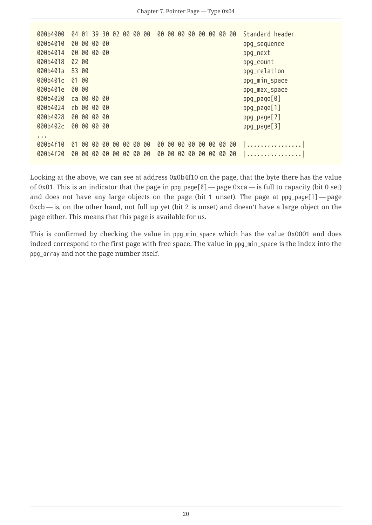000b4000 04 01 39 30 02 00 00 00 00 00 00 00 00 00 00 00 Standard header 000b4010 00 00 00 00 ppg\_sequence 000b4014 00 00 00 00 ppg\_next 000b4018 02 00 ppg\_count 000b401a 83 00 ppg\_relation 000b401c 01 00 ppg\_min space 000b401c 01 00 ppg\_min\_space 000b401c 01 00 ppg\_min\_space 000b401e 00 00 ppg\_max\_space 000b4020 ca 00 00 00 ppg\_page[0] 000b4024 cb 00 00 00 ppg\_page[1] 000b4028 00 00 00 00 ppg\_page[2] 000b402c 00 00 00 00 ppg\_page[3] ... 000b4f10 01 00 00 00 00 00 00 00 00 00 00 00 00 00 00 00 |................| 000b4f20 00 00 00 00 00 00 00 00 00 00 00 00 00 00 00 00 |................|

Looking at the above, we can see at address 0x0b4f10 on the page, that the byte there has the value of 0x01. This is an indicator that the page in  $ppq$ -page $[0]$  — page 0xca — is full to capacity (bit 0 set) and does not have any large objects on the page (bit 1 unset). The page at  $ppq_pq_qe[1]$  — page 0xcb — is, on the other hand, not full up yet (bit 2 is unset) and doesn't have a large object on the page either. This means that this page is available for us.

This is confirmed by checking the value in ppg\_min\_space which has the value 0x0001 and does indeed correspond to the first page with free space. The value in ppg\_min\_space is the index into the ppg\_array and not the page number itself.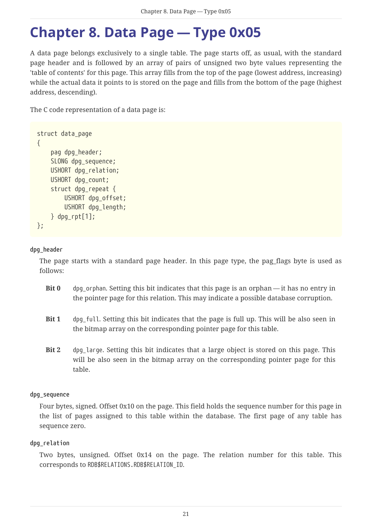# <span id="page-21-0"></span>**Chapter 8. Data Page — Type 0x05**

A data page belongs exclusively to a single table. The page starts off, as usual, with the standard page header and is followed by an array of pairs of unsigned two byte values representing the 'table of contents' for this page. This array fills from the top of the page (lowest address, increasing) while the actual data it points to is stored on the page and fills from the bottom of the page (highest address, descending).

The C code representation of a data page is:

```
struct data_page
{
      pag dpg_header;
      SLONG dpg_sequence;
      USHORT dpg_relation;
      USHORT dpg_count;
      struct dpg_repeat {
           USHORT dpg_offset;
           USHORT dpg_length;
      } dpg_rpt[1];
};
```
#### **dpg\_header**

The page starts with a standard page header. In this page type, the pag\_flags byte is used as follows:

- **Bit 0** dpg orphan. Setting this bit indicates that this page is an orphan it has no entry in the pointer page for this relation. This may indicate a possible database corruption.
- **Bit 1** dpg\_full. Setting this bit indicates that the page is full up. This will be also seen in the bitmap array on the corresponding pointer page for this table.
- **Bit 2** dpg\_large. Setting this bit indicates that a large object is stored on this page. This will be also seen in the bitmap array on the corresponding pointer page for this table.

#### **dpg\_sequence**

Four bytes, signed. Offset 0x10 on the page. This field holds the sequence number for this page in the list of pages assigned to this table within the database. The first page of any table has sequence zero.

#### **dpg\_relation**

Two bytes, unsigned. Offset 0x14 on the page. The relation number for this table. This corresponds to RDB\$RELATIONS.RDB\$RELATION\_ID.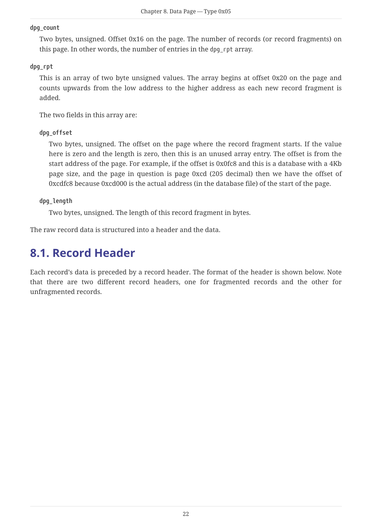#### **dpg\_count**

Two bytes, unsigned. Offset 0x16 on the page. The number of records (or record fragments) on this page. In other words, the number of entries in the dpg\_rpt array.

#### **dpg\_rpt**

This is an array of two byte unsigned values. The array begins at offset 0x20 on the page and counts upwards from the low address to the higher address as each new record fragment is added.

The two fields in this array are:

#### **dpg\_offset**

Two bytes, unsigned. The offset on the page where the record fragment starts. If the value here is zero and the length is zero, then this is an unused array entry. The offset is from the start address of the page. For example, if the offset is 0x0fc8 and this is a database with a 4Kb page size, and the page in question is page 0xcd (205 decimal) then we have the offset of 0xcdfc8 because 0xcd000 is the actual address (in the database file) of the start of the page.

**dpg\_length**

Two bytes, unsigned. The length of this record fragment in bytes.

The raw record data is structured into a header and the data.

### <span id="page-22-0"></span>**8.1. Record Header**

Each record's data is preceded by a record header. The format of the header is shown below. Note that there are two different record headers, one for fragmented records and the other for unfragmented records.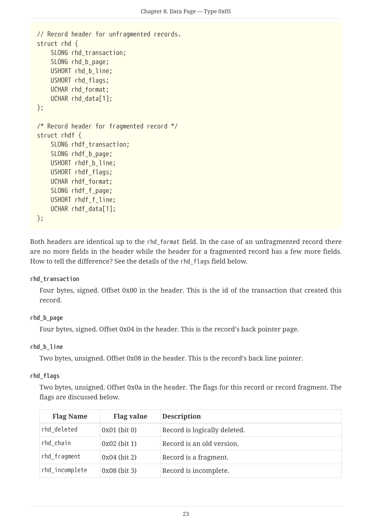```
// Record header for unfragmented records.
struct rhd {
    SLONG rhd transaction;
    SLONG rhd b page;
      USHORT rhd_b_line;
      USHORT rhd_flags;
      UCHAR rhd_format;
      UCHAR rhd_data[1];
};
/* Record header for fragmented record */
struct rhdf {
    SLONG rhdf transaction;
    SLONG rhdf b page;
      USHORT rhdf_b_line;
      USHORT rhdf_flags;
    UCHAR rhdf format;
    SLONG rhdf f page;
      USHORT rhdf_f_line;
      UCHAR rhdf_data[1];
};
```
Both headers are identical up to the rhd\_format field. In the case of an unfragmented record there are no more fields in the header while the header for a fragmented record has a few more fields. How to tell the difference? See the details of the rhd\_flags field below.

#### **rhd\_transaction**

Four bytes, signed. Offset 0x00 in the header. This is the id of the transaction that created this record.

#### **rhd\_b\_page**

Four bytes, signed. Offset 0x04 in the header. This is the record's back pointer page.

#### **rhd\_b\_line**

Two bytes, unsigned. Offset 0x08 in the header. This is the record's back line pointer.

#### **rhd\_flags**

Two bytes, unsigned. Offset 0x0a in the header. The flags for this record or record fragment. The flags are discussed below.

| <b>Flag Name</b> | <b>Flag value</b> | <b>Description</b>           |
|------------------|-------------------|------------------------------|
| rhd_deleted      | $0x01$ (bit 0)    | Record is logically deleted. |
| rhd_chain        | $0x02$ (bit 1)    | Record is an old version.    |
| rhd_fragment     | $0x04$ (bit 2)    | Record is a fragment.        |
| rhd_incomplete   | $0x08$ (bit 3)    | Record is incomplete.        |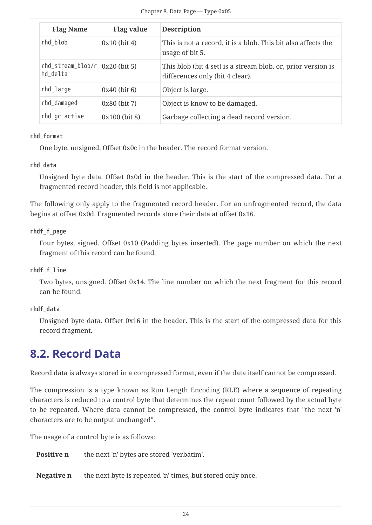| <b>Flag Name</b>                                                 | <b>Flag value</b> | <b>Description</b>                                                                              |
|------------------------------------------------------------------|-------------------|-------------------------------------------------------------------------------------------------|
| rhd_blob                                                         | $0x10$ (bit 4)    | This is not a record, it is a blob. This bit also affects the<br>usage of bit 5.                |
| $rhd_ \text{stream\_blob/r}$ $(x20 \text{ (bit 5)})$<br>hd delta |                   | This blob (bit 4 set) is a stream blob, or, prior version is<br>differences only (bit 4 clear). |
| rhd_large                                                        | $0x40$ (bit 6)    | Object is large.                                                                                |
| rhd_damaged                                                      | $0x80$ (bit 7)    | Object is know to be damaged.                                                                   |
| rhd_gc_active                                                    | $0x100$ (bit 8)   | Garbage collecting a dead record version.                                                       |

#### **rhd\_format**

One byte, unsigned. Offset 0x0c in the header. The record format version.

#### **rhd\_data**

Unsigned byte data. Offset 0x0d in the header. This is the start of the compressed data. For a fragmented record header, this field is not applicable.

The following only apply to the fragmented record header. For an unfragmented record, the data begins at offset 0x0d. Fragmented records store their data at offset 0x16.

#### **rhdf\_f\_page**

Four bytes, signed. Offset 0x10 (Padding bytes inserted). The page number on which the next fragment of this record can be found.

#### **rhdf\_f\_line**

Two bytes, unsigned. Offset 0x14. The line number on which the next fragment for this record can be found.

#### **rhdf\_data**

Unsigned byte data. Offset 0x16 in the header. This is the start of the compressed data for this record fragment.

### <span id="page-24-0"></span>**8.2. Record Data**

Record data is always stored in a compressed format, even if the data itself cannot be compressed.

The compression is a type known as Run Length Encoding (RLE) where a sequence of repeating characters is reduced to a control byte that determines the repeat count followed by the actual byte to be repeated. Where data cannot be compressed, the control byte indicates that "the next 'n' characters are to be output unchanged".

The usage of a control byte is as follows:

**Positive n** the next 'n' bytes are stored 'verbatim'.

**Negative n** the next byte is repeated 'n' times, but stored only once.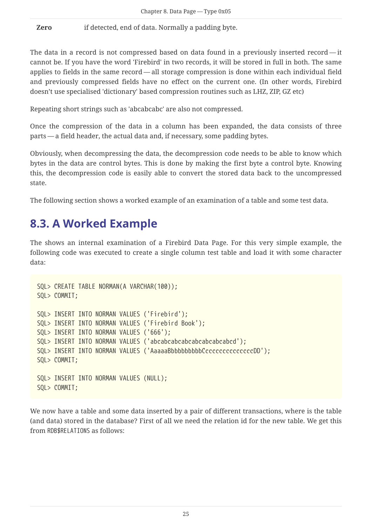**Zero** if detected, end of data. Normally a padding byte.

The data in a record is not compressed based on data found in a previously inserted record — it cannot be. If you have the word 'Firebird' in two records, it will be stored in full in both. The same applies to fields in the same record — all storage compression is done within each individual field and previously compressed fields have no effect on the current one. (In other words, Firebird doesn't use specialised 'dictionary' based compression routines such as LHZ, ZIP, GZ etc)

Repeating short strings such as 'abcabcabc' are also not compressed.

Once the compression of the data in a column has been expanded, the data consists of three parts — a field header, the actual data and, if necessary, some padding bytes.

Obviously, when decompressing the data, the decompression code needs to be able to know which bytes in the data are control bytes. This is done by making the first byte a control byte. Knowing this, the decompression code is easily able to convert the stored data back to the uncompressed state.

The following section shows a worked example of an examination of a table and some test data.

### <span id="page-25-0"></span>**8.3. A Worked Example**

The shows an internal examination of a Firebird Data Page. For this very simple example, the following code was executed to create a single column test table and load it with some character data:

```
SQL> CREATE TABLE NORMAN(A VARCHAR(100));
SQL> COMMIT;
SQL> INSERT INTO NORMAN VALUES ('Firebird');
SQL> INSERT INTO NORMAN VALUES ('Firebird Book');
SQL> INSERT INTO NORMAN VALUES ('666');
SQL> INSERT INTO NORMAN VALUES ('abcabcabcabcabcabcabcabcd');
SQL> INSERT INTO NORMAN VALUES ('AaaaaBbbbbbbbbbccccccccccccccDD');
SQL> COMMIT;
SQL> INSERT INTO NORMAN VALUES (NULL);
SQL> COMMIT;
```
We now have a table and some data inserted by a pair of different transactions, where is the table (and data) stored in the database? First of all we need the relation id for the new table. We get this from RDB\$RELATIONS as follows: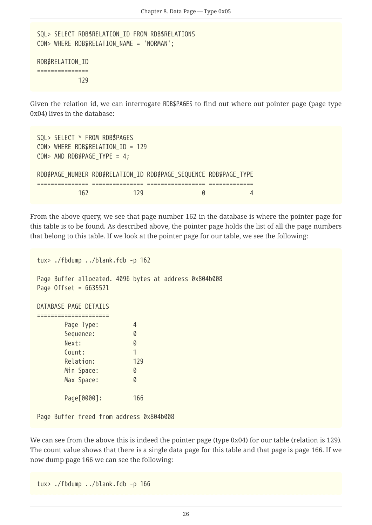```
SQL> SELECT RDB$RELATION_ID FROM RDB$RELATIONS
CON> WHERE RDB$RELATION_NAME = 'NORMAN';
RDB$RELATION_ID
```

```
===============
                129
```
Given the relation id, we can interrogate RDB\$PAGES to find out where out pointer page (page type 0x04) lives in the database:

```
SQL> SELECT * FROM RDB$PAGES
CON> WHERE RDB$RELATION_ID = 129
CON> AND RDB$PAGE_TYPE = 4;
RDB$PAGE_NUMBER_RDB$RELATION_ID_RDB$PAGE_SEQUENCE_RDB$PAGE_TYPE
=============== =============== ================= =============
  162 129 0 4
```
From the above query, we see that page number 162 in the database is where the pointer page for this table is to be found. As described above, the pointer page holds the list of all the page numbers that belong to this table. If we look at the pointer page for our table, we see the following:

```
tux> ./fbdump ../blank.fdb -p 162
Page Buffer allocated. 4096 bytes at address 0x804b008
Page Offset = 663552l
DATABASE PAGE DETAILS
=====================
        Page Type: 4
      Sequence: 0
        Next: 0
      Count: 1
        Relation: 129
      Min Space: 0
      Max Space: 0
        Page[0000]: 166
Page Buffer freed from address 0x804b008
```
We can see from the above this is indeed the pointer page (type 0x04) for our table (relation is 129). The count value shows that there is a single data page for this table and that page is page 166. If we now dump page 166 we can see the following:

```
tux> ./fbdump ../blank.fdb -p 166
```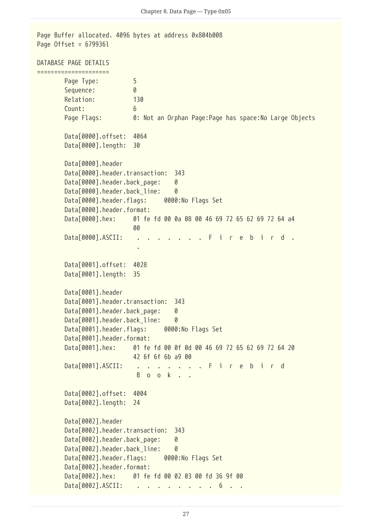Page Buffer allocated. 4096 bytes at address 0x804b008 Page Offset = 679936l DATABASE PAGE DETAILS ===================== Page Type: 5 Sequence: 0 Relation: 130 Count: 6 Page Flags: 0: Not an Orphan Page:Page has space:No Large Objects Data[0000].offset: 4064 Data[0000].length: 30 Data[0000].header Data[0000].header.transaction: 343 Data[0000].header.back\_page: 0 Data[0000].header.back\_line: 0 Data[0000].header.flags: 0000:No Flags Set Data[0000].header.format: Data[0000].hex: 01 fe fd 00 0a 08 00 46 69 72 65 62 69 72 64 a4 <u>00 and 200 and 200 and 200 and 200 and 200 and 200 and 200 and 200 and 200 and 200 and 200 and 200 and 200 an</u> Data[0000].ASCII: . . . . . . . F i r e b i r d . . Data[0001].offset: 4028 Data[0001].length: 35 Data[0001].header Data[0001].header.transaction: 343 Data[0001].header.back page: 0 Data[0001].header.back line: 0 Data[0001].header.flags: 0000:No Flags Set Data[0001].header.format: Data[0001].hex: 01 fe fd 00 0f 0d 00 46 69 72 65 62 69 72 64 20 42 6f 6f 6b a9 00 Data[0001].ASCII: . . . . . . . F i r e b i r d B o o k . . Data[0002].offset: 4004 Data[0002].length: 24 Data[0002].header Data[0002].header.transaction: 343 Data[0002].header.back\_page: 0 Data[0002].header.back\_line: 0 Data[0002].header.flags: 0000:No Flags Set Data[0002].header.format: Data[0002].hex: 01 fe fd 00 02 03 00 fd 36 9f 00 Data[0002].ASCII: . . . . . . . . 6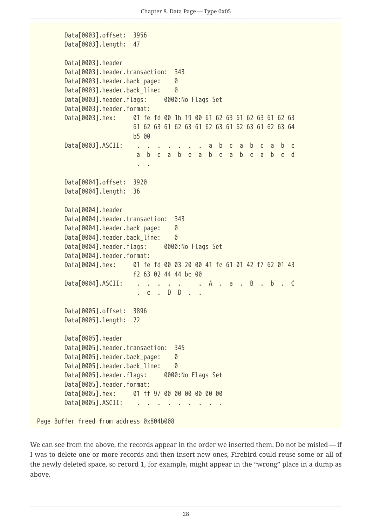```
  Data[0003].offset: 3956
         Data[0003].length: 47
         Data[0003].header
         Data[0003].header.transaction: 343
       Data[0003].header.back page: 0
       Data[0003].header.back line: 0
       Data[0003].header.flags: 0000:No Flags Set
       Data[0003].header.format:
         Data[0003].hex: 01 fe fd 00 1b 19 00 61 62 63 61 62 63 61 62 63
                            61 62 63 61 62 63 61 62 63 61 62 63 61 62 63 64
                            b5 00
       Data[0003].ASCII: . . . . . . . a b c a b c a b c
                             a b c a b c a b c a b c a b c d
  . .
         Data[0004].offset: 3920
         Data[0004].length: 36
         Data[0004].header
         Data[0004].header.transaction: 343
       Data[0004].header.back_page: 0
       Data[0004].header.back line: 0
         Data[0004].header.flags: 0000:No Flags Set
         Data[0004].header.format:
         Data[0004].hex: 01 fe fd 00 03 20 00 41 fc 61 01 42 f7 62 01 43
                            f2 63 02 44 44 bc 00
       Data[0004].ASCII: . . . . . . A . a . B . b . C
                             . c . D D . .
         Data[0005].offset: 3896
         Data[0005].length: 22
         Data[0005].header
         Data[0005].header.transaction: 345
       Data[0005].header.back page: 0
       Data[0005].header.back line: 0
       Data[0005].header.flags: 0000:No Flags Set
       Data[0005].header.format:
         Data[0005].hex: 01 ff 97 00 00 00 00 00 00
       Data[0005].ASCII:
Page Buffer freed from address 0x804b008
```
We can see from the above, the records appear in the order we inserted them. Do not be misled — if I was to delete one or more records and then insert new ones, Firebird could reuse some or all of the newly deleted space, so record 1, for example, might appear in the "wrong" place in a dump as above.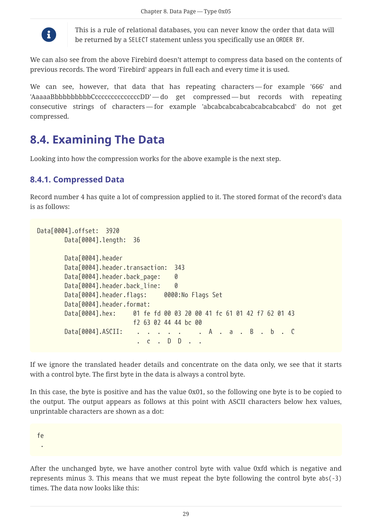

This is a rule of relational databases, you can never know the order that data will be returned by a SELECT statement unless you specifically use an ORDER BY.

We can also see from the above Firebird doesn't attempt to compress data based on the contents of previous records. The word 'Firebird' appears in full each and every time it is used.

We can see, however, that data that has repeating characters — for example '666' and 'AaaaaBbbbbbbbbbCccccccccccccccDD' — do get compressed — but records with repeating consecutive strings of characters — for example 'abcabcabcabcabcabcabcabcd' do not get compressed.

### <span id="page-29-0"></span>**8.4. Examining The Data**

Looking into how the compression works for the above example is the next step.

#### <span id="page-29-1"></span>**8.4.1. Compressed Data**

Record number 4 has quite a lot of compression applied to it. The stored format of the record's data is as follows:

```
Data[0004].offset: 3920
         Data[0004].length: 36
         Data[0004].header
         Data[0004].header.transaction: 343
       Data[0004].header.back page: 0
       Data[0004].header.back_line: 0
       Data[0004].header.flags: 0000:No Flags Set
         Data[0004].header.format:
         Data[0004].hex: 01 fe fd 00 03 20 00 41 fc 61 01 42 f7 62 01 43
                            f2 63 02 44 44 bc 00
       Data[0004].ASCII: . . . . . . A . a . B . b . C
                                . c . D D . .
```
If we ignore the translated header details and concentrate on the data only, we see that it starts with a control byte. The first byte in the data is always a control byte.

In this case, the byte is positive and has the value 0x01, so the following one byte is to be copied to the output. The output appears as follows at this point with ASCII characters below hex values, unprintable characters are shown as a dot:

fe

.

After the unchanged byte, we have another control byte with value 0xfd which is negative and represents minus 3. This means that we must repeat the byte following the control byte abs(-3) times. The data now looks like this: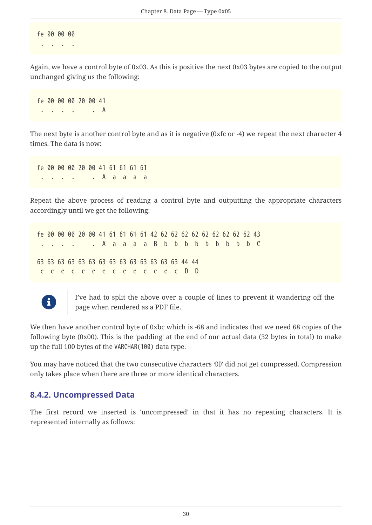fe 00 00 00

. . . .

Again, we have a control byte of 0x03. As this is positive the next 0x03 bytes are copied to the output unchanged giving us the following:

fe 00 00 00 20 00 41 . **A** 

The next byte is another control byte and as it is negative (0xfc or -4) we repeat the next character 4 times. The data is now:

fe 00 00 00 20 00 41 61 61 61 61 . . . . . A a a a a

Repeat the above process of reading a control byte and outputting the appropriate characters accordingly until we get the following:

fe 00 00 00 20 00 41 61 61 61 61 42 62 62 62 62 62 62 62 62 62 43 . A a a a a B b b b b b b b b c 63 63 63 63 63 63 63 63 63 63 63 63 63 63 44 44 c c c c c c c c c c c c c c D D



I've had to split the above over a couple of lines to prevent it wandering off the page when rendered as a PDF file.

We then have another control byte of 0xbc which is -68 and indicates that we need 68 copies of the following byte (0x00). This is the 'padding' at the end of our actual data (32 bytes in total) to make up the full 100 bytes of the VARCHAR(100) data type.

You may have noticed that the two consecutive characters 'DD' did not get compressed. Compression only takes place when there are three or more identical characters.

### <span id="page-30-0"></span>**8.4.2. Uncompressed Data**

The first record we inserted is 'uncompressed' in that it has no repeating characters. It is represented internally as follows: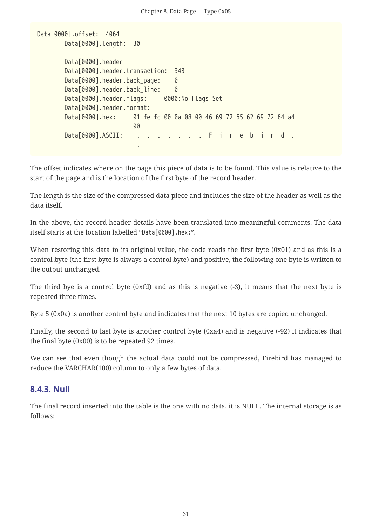```
Data[0000].offset: 4064
          Data[0000].length: 30
          Data[0000].header
          Data[0000].header.transaction: 343
        Data[0000].header.back_page: 0
        Data[0000].header.back line: 0
          Data[0000].header.flags: 0000:No Flags Set
        Data[0000].header.format:
          Data[0000].hex: 01 fe fd 00 0a 08 00 46 69 72 65 62 69 72 64 a4
<u>00 and 200 and 200 and 200 and 200 and 200 and 200 and 200 and 200 and 200 and 200 and 200 and 200 and 200 an</u>
        Data[0000].ASCII: . . . . . . . F i r e b i r d .
  .
```
The offset indicates where on the page this piece of data is to be found. This value is relative to the start of the page and is the location of the first byte of the record header.

The length is the size of the compressed data piece and includes the size of the header as well as the data itself.

In the above, the record header details have been translated into meaningful comments. The data itself starts at the location labelled "Data[0000].hex:".

When restoring this data to its original value, the code reads the first byte (0x01) and as this is a control byte (the first byte is always a control byte) and positive, the following one byte is written to the output unchanged.

The third bye is a control byte (0xfd) and as this is negative (-3), it means that the next byte is repeated three times.

Byte 5 (0x0a) is another control byte and indicates that the next 10 bytes are copied unchanged.

Finally, the second to last byte is another control byte (0xa4) and is negative (-92) it indicates that the final byte (0x00) is to be repeated 92 times.

We can see that even though the actual data could not be compressed, Firebird has managed to reduce the VARCHAR(100) column to only a few bytes of data.

### <span id="page-31-0"></span>**8.4.3. Null**

The final record inserted into the table is the one with no data, it is NULL. The internal storage is as follows: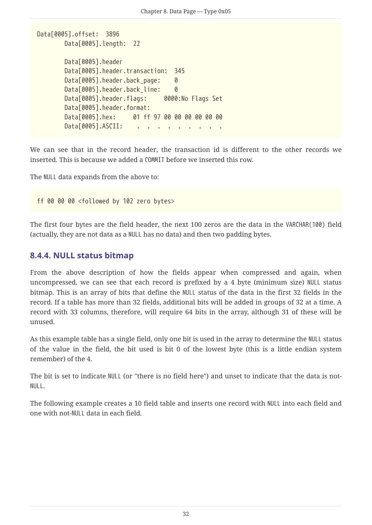```
Data[0005].offset: 3896
         Data[0005].length: 22
         Data[0005].header
         Data[0005].header.transaction: 345
       Data[0005].header.back_page: 0
       Data[0005].header.back line: 0
         Data[0005].header.flags: 0000:No Flags Set
       Data[0005].header.format:
         Data[0005].hex: 01 ff 97 00 00 00 00 00 00
       Data[0005].ASCII:
```
We can see that in the record header, the transaction id is different to the other records we inserted. This is because we added a COMMIT before we inserted this row.

The NULL data expands from the above to:

ff 00 00 00 <followed by 102 zero bytes>

The first four bytes are the field header, the next 100 zeros are the data in the VARCHAR(100) field (actually, they are not data as a NULL has no data) and then two padding bytes.

#### <span id="page-32-0"></span>**8.4.4. NULL status bitmap**

From the above description of how the fields appear when compressed and again, when uncompressed, we can see that each record is prefixed by a 4 byte (minimum size) NULL status bitmap. This is an array of bits that define the NULL status of the data in the first 32 fields in the record. If a table has more than 32 fields, additional bits will be added in groups of 32 at a time. A record with 33 columns, therefore, will require 64 bits in the array, although 31 of these will be unused.

As this example table has a single field, only one bit is used in the array to determine the NULL status of the value in the field, the bit used is bit 0 of the lowest byte (this is a little endian system remember) of the 4.

The bit is set to indicate NULL (or "there is no field here") and unset to indicate that the data is not-NULL.

The following example creates a 10 field table and inserts one record with NULL into each field and one with not-NULL data in each field.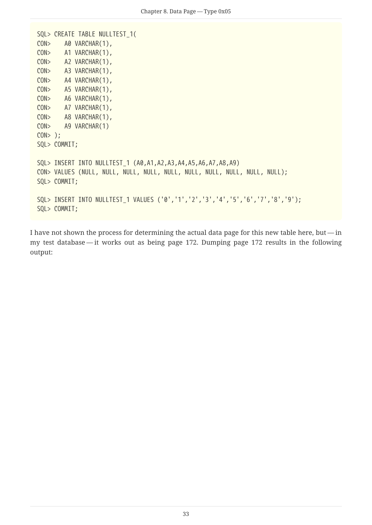```
SQL> CREATE TABLE NULLTEST_1(
CON> A0 VARCHAR(1),
CON> A1 VARCHAR(1),
CON> A2 VARCHAR(1),
CON> A3 VARCHAR(1),
CON> A4 VARCHAR(1),
CON> A5 VARCHAR(1),
CON> A6 VARCHAR(1),
CON> A7 VARCHAR(1),
CON> A8 VARCHAR(1),
CON> A9 VARCHAR(1)
CON> );
SQL> COMMIT;
SQL> INSERT INTO NULLTEST_1 (A0,A1,A2,A3,A4,A5,A6,A7,A8,A9)
CON> VALUES (NULL, NULL, NULL, NULL, NULL, NULL, NULL, NULL, NULL, NULL);
SQL> COMMIT;
SQL> INSERT INTO NULLTEST_1 VALUES ('0','1','2','3','4','5','6','7','8','9');
SQL> COMMIT;
```
I have not shown the process for determining the actual data page for this new table here, but — in my test database — it works out as being page 172. Dumping page 172 results in the following output: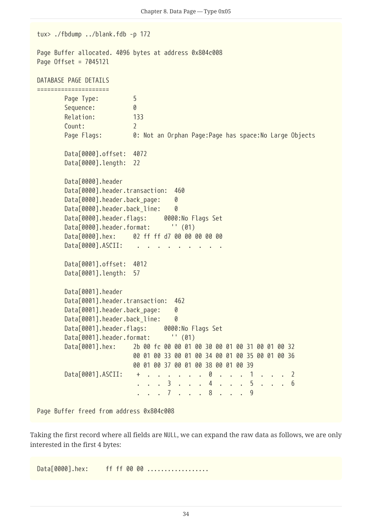tux> ./fbdump ../blank.fdb -p 172 Page Buffer allocated. 4096 bytes at address 0x804c008 Page Offset = 704512l DATABASE PAGE DETAILS ===================== Page Type: 5 Sequence: 0 Relation: 133 Count: 2 Page Flags: 0: Not an Orphan Page:Page has space:No Large Objects Data[0000].offset: 4072 Data[0000].length: 22 Data[0000].header Data[0000].header.transaction: 460 Data[0000].header.back page: 0 Data[0000].header.back line: 0 Data[0000].header.flags: 0000:No Flags Set Data[0000].header.format: '' (01) Data[0000].hex: 02 ff ff d7 00 00 00 00 00 Data[0000].ASCII: . Data[0001].offset: 4012 Data[0001].length: 57 Data[0001].header Data[0001].header.transaction: 462 Data[0001].header.back\_page: 0 Data[0001].header.back line: 0 Data[0001].header.flags: 0000:No Flags Set Data[0001].header.format: '' (01) Data[0001].hex: 2b 00 fc 00 00 01 00 30 00 01 00 31 00 01 00 32 00 01 00 33 00 01 00 34 00 01 00 35 00 01 00 36 00 01 00 37 00 01 00 38 00 01 00 39 Data[0001].ASCII: + . . . . . . 0 . . . 1 . . . 2 . . . 3 . . . 4 . . . 5 . . . 6 . . . 7 . . . 8 . . . 9

Page Buffer freed from address 0x804c008

Taking the first record where all fields are NULL, we can expand the raw data as follows, we are only interested in the first 4 bytes:

 $Data[0000]$ .hex: ff ff 00 00 ....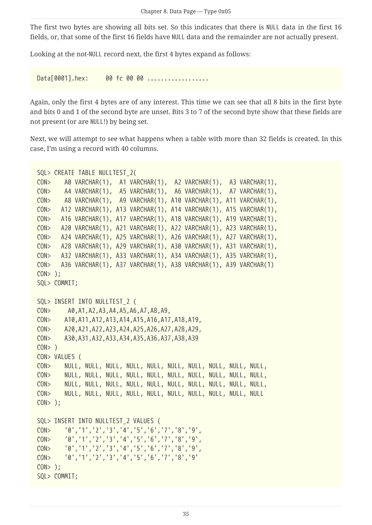The first two bytes are showing all bits set. So this indicates that there is NULL data in the first 16 fields, or, that some of the first 16 fields have NULL data and the remainder are not actually present.

Looking at the not-NULL record next, the first 4 bytes expand as follows:

Data[0001].hex: 00 fc 00 00 ............

Again, only the first 4 bytes are of any interest. This time we can see that all 8 bits in the first byte and bits 0 and 1 of the second byte are unset. Bits 3 to 7 of the second byte show that these fields are not present (or are NULL!) by being set.

Next, we will attempt to see what happens when a table with more than 32 fields is created. In this case, I'm using a record with 40 columns.

```
SQL> CREATE TABLE NULLTEST_2(
CON> A0 VARCHAR(1), A1 VARCHAR(1), A2 VARCHAR(1), A3 VARCHAR(1),
CON> A4 VARCHAR(1), A5 VARCHAR(1), A6 VARCHAR(1), A7 VARCHAR(1),
CON> A8 VARCHAR(1), A9 VARCHAR(1), A10 VARCHAR(1), A11 VARCHAR(1),
CON> A12 VARCHAR(1), A13 VARCHAR(1), A14 VARCHAR(1), A15 VARCHAR(1),
CON> A16 VARCHAR(1), A17 VARCHAR(1), A18 VARCHAR(1), A19 VARCHAR(1),
CON> A20 VARCHAR(1), A21 VARCHAR(1), A22 VARCHAR(1), A23 VARCHAR(1),
CON> A24 VARCHAR(1), A25 VARCHAR(1), A26 VARCHAR(1), A27 VARCHAR(1),
CON> A28 VARCHAR(1), A29 VARCHAR(1), A30 VARCHAR(1), A31 VARCHAR(1),
CON> A32 VARCHAR(1), A33 VARCHAR(1), A34 VARCHAR(1), A35 VARCHAR(1),
CON> A36 VARCHAR(1), A37 VARCHAR(1), A38 VARCHAR(1), A39 VARCHAR(1)
CON> );
SQL> COMMIT;
SQL> INSERT INTO NULLTEST_2 (
CON> A0,A1,A2,A3,A4,A5,A6,A7,A8,A9,
CON> A10,A11,A12,A13,A14,A15,A16,A17,A18,A19,
CON> A20,A21,A22,A23,A24,A25,A26,A27,A28,A29,
CON> A30,A31,A32,A33,A34,A35,A36,A37,A38,A39
CON> )
CON> VALUES (
CON> NULL, NULL, NULL, NULL, NULL, NULL, NULL, NULL, NULL, NULL,
CON> NULL, NULL, NULL, NULL, NULL, NULL, NULL, NULL, NULL, NULL,
CON> NULL, NULL, NULL, NULL, NULL, NULL, NULL, NULL, NULL, NULL,
CON> NULL, NULL, NULL, NULL, NULL, NULL, NULL, NULL, NULL, NULL
CON> );
SQL> INSERT INTO NULLTEST_2 VALUES (
CON> '0','1','2','3','4','5','6','7','8','9',
CON> '0','1','2','3','4','5','6','7','8','9',
CON> '0','1','2','3','4','5','6','7','8','9',
CON> '0','1','2','3','4','5','6','7','8','9'
CON> );
SQL> COMMIT;
```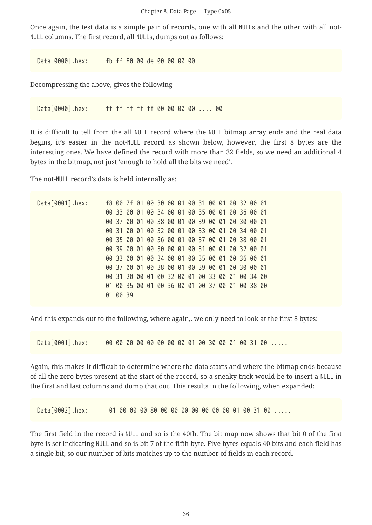Once again, the test data is a simple pair of records, one with all NULLs and the other with all not-NULL columns. The first record, all NULLs, dumps out as follows:

Data[0000].hex: fb ff 80 00 de 00 00 00 00

Decompressing the above, gives the following

Data[0000].hex: ff ff ff ff ff 00 00 00 00 .... 00

It is difficult to tell from the all NULL record where the NULL bitmap array ends and the real data begins, it's easier in the not-NULL record as shown below, however, the first 8 bytes are the interesting ones. We have defined the record with more than 32 fields, so we need an additional 4 bytes in the bitmap, not just 'enough to hold all the bits we need'.

The not-NULL record's data is held internally as:

Data[0001].hex: f8 00 7f 01 00 30 00 01 00 31 00 01 00 32 00 01 00 33 00 01 00 34 00 01 00 35 00 01 00 36 00 01 00 37 00 01 00 38 00 01 00 39 00 01 00 30 00 01 00 31 00 01 00 32 00 01 00 33 00 01 00 34 00 01 00 35 00 01 00 36 00 01 00 37 00 01 00 38 00 01 00 39 00 01 00 30 00 01 00 31 00 01 00 32 00 01 00 33 00 01 00 34 00 01 00 35 00 01 00 36 00 01 00 37 00 01 00 38 00 01 00 39 00 01 00 30 00 01 00 31 20 00 01 00 32 00 01 00 33 00 01 00 34 00 01 00 35 00 01 00 36 00 01 00 37 00 01 00 38 00 01 00 39

And this expands out to the following, where again,. we only need to look at the first 8 bytes:

Data[0001].hex: 00 00 00 00 00 00 00 00 01 00 30 00 01 00 31 00 .....

Again, this makes it difficult to determine where the data starts and where the bitmap ends because of all the zero bytes present at the start of the record, so a sneaky trick would be to insert a NULL in the first and last columns and dump that out. This results in the following, when expanded:

Data[0002].hex: 01 00 00 00 80 00 00 00 00 00 00 00 01 00 31 00 ....

The first field in the record is NULL and so is the 40th. The bit map now shows that bit 0 of the first byte is set indicating NULL and so is bit 7 of the fifth byte. Five bytes equals 40 bits and each field has a single bit, so our number of bits matches up to the number of fields in each record.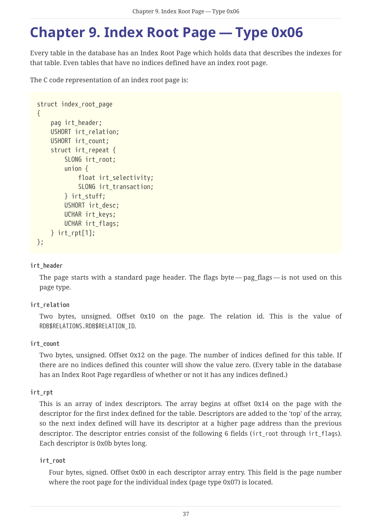## <span id="page-37-0"></span>**Chapter 9. Index Root Page — Type 0x06**

Every table in the database has an Index Root Page which holds data that describes the indexes for that table. Even tables that have no indices defined have an index root page.

The C code representation of an index root page is:

```
struct index_root_page
{
      pag irt_header;
      USHORT irt_relation;
      USHORT irt_count;
    struct irt repeat {
           SLONG irt_root;
           union {
             float irt selectivity;
               SLONG irt_transaction;
           } irt_stuff;
           USHORT irt_desc;
           UCHAR irt_keys;
           UCHAR irt_flags;
      } irt_rpt[1];
};
```
#### **irt\_header**

The page starts with a standard page header. The flags byte — pag\_flags — is not used on this page type.

#### **irt\_relation**

Two bytes, unsigned. Offset 0x10 on the page. The relation id. This is the value of RDB\$RELATIONS.RDB\$RELATION\_ID.

#### **irt\_count**

Two bytes, unsigned. Offset 0x12 on the page. The number of indices defined for this table. If there are no indices defined this counter will show the value zero. (Every table in the database has an Index Root Page regardless of whether or not it has any indices defined.)

#### **irt\_rpt**

This is an array of index descriptors. The array begins at offset 0x14 on the page with the descriptor for the first index defined for the table. Descriptors are added to the 'top' of the array, so the next index defined will have its descriptor at a higher page address than the previous descriptor. The descriptor entries consist of the following 6 fields (irt root through irt flags). Each descriptor is 0x0b bytes long.

#### **irt\_root**

Four bytes, signed. Offset 0x00 in each descriptor array entry. This field is the page number where the root page for the individual index (page type 0x07) is located.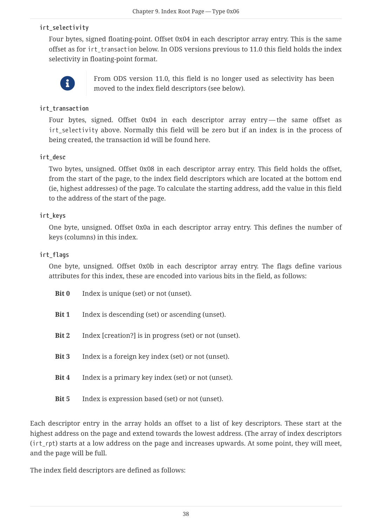#### **irt\_selectivity**

Four bytes, signed floating-point. Offset 0x04 in each descriptor array entry. This is the same offset as for irt\_transaction below. In ODS versions previous to 11.0 this field holds the index selectivity in floating-point format.



From ODS version 11.0, this field is no longer used as selectivity has been moved to the index field descriptors (see below).

#### **irt\_transaction**

Four bytes, signed. Offset 0x04 in each descriptor array entry—the same offset as irt\_selectivity above. Normally this field will be zero but if an index is in the process of being created, the transaction id will be found here.

#### **irt\_desc**

Two bytes, unsigned. Offset 0x08 in each descriptor array entry. This field holds the offset, from the start of the page, to the index field descriptors which are located at the bottom end (ie, highest addresses) of the page. To calculate the starting address, add the value in this field to the address of the start of the page.

#### **irt\_keys**

One byte, unsigned. Offset 0x0a in each descriptor array entry. This defines the number of keys (columns) in this index.

#### **irt\_flags**

One byte, unsigned. Offset 0x0b in each descriptor array entry. The flags define various attributes for this index, these are encoded into various bits in the field, as follows:

| Bit 0        | Index is unique (set) or not (unset).                  |
|--------------|--------------------------------------------------------|
| Bit 1        | Index is descending (set) or ascending (unset).        |
| Bit 2        | Index [creation?] is in progress (set) or not (unset). |
| Bit 3        | Index is a foreign key index (set) or not (unset).     |
| Bit 4        | Index is a primary key index (set) or not (unset).     |
| <b>Bit 5</b> | Index is expression based (set) or not (unset).        |

Each descriptor entry in the array holds an offset to a list of key descriptors. These start at the highest address on the page and extend towards the lowest address. (The array of index descriptors (irt\_rpt) starts at a low address on the page and increases upwards. At some point, they will meet, and the page will be full.

The index field descriptors are defined as follows: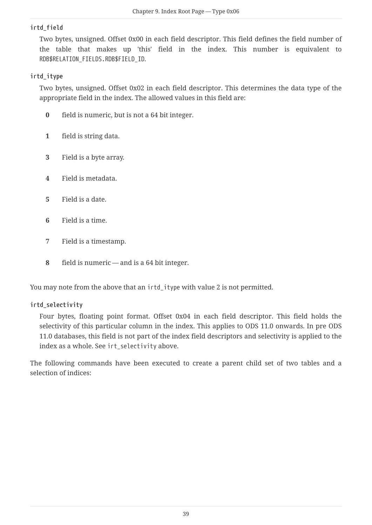#### **irtd\_field**

Two bytes, unsigned. Offset 0x00 in each field descriptor. This field defines the field number of the table that makes up 'this' field in the index. This number is equivalent to RDB\$RELATION\_FIELDS.RDB\$FIELD\_ID.

#### **irtd\_itype**

Two bytes, unsigned. Offset 0x02 in each field descriptor. This determines the data type of the appropriate field in the index. The allowed values in this field are:

- **0** field is numeric, but is not a 64 bit integer.
- **1** field is string data.
- **3** Field is a byte array.
- **4** Field is metadata.
- **5** Field is a date.
- **6** Field is a time.
- **7** Field is a timestamp.
- **8** field is numeric and is a 64 bit integer.

You may note from the above that an irtd\_itype with value 2 is not permitted.

#### **irtd\_selectivity**

Four bytes, floating point format. Offset 0x04 in each field descriptor. This field holds the selectivity of this particular column in the index. This applies to ODS 11.0 onwards. In pre ODS 11.0 databases, this field is not part of the index field descriptors and selectivity is applied to the index as a whole. See irt\_selectivity above.

The following commands have been executed to create a parent child set of two tables and a selection of indices: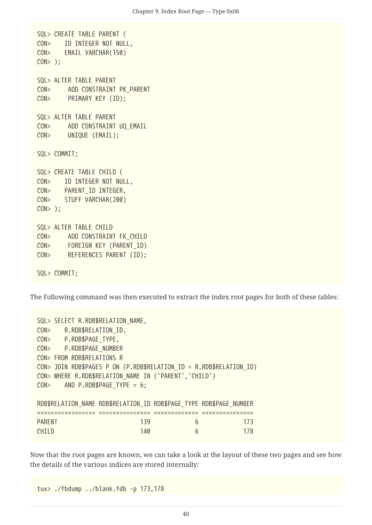```
SQL> CREATE TABLE PARENT (
CON> ID INTEGER NOT NULL,
CON> EMAIL VARCHAR(150)
CON> );
SQL> ALTER TABLE PARENT
CON> ADD CONSTRAINT PK_PARENT
CON> PRIMARY KEY (ID);
SQL> ALTER TABLE PARENT
CON> ADD CONSTRAINT UQ_EMAIL
CON> UNIQUE (EMAIL);
SQL> COMMIT;
SQL> CREATE TABLE CHILD (
CON> ID INTEGER NOT NULL,
CON> PARENT_ID INTEGER,
CON> STUFF VARCHAR(200)
CON> );
SQL> ALTER TABLE CHILD
CON> ADD CONSTRAINT FK_CHILD
CON> FOREIGN KEY (PARENT_ID)
CON> REFERENCES PARENT (ID);
SQL> COMMIT;
```
The Following command was then executed to extract the index root pages for both of these tables:

|               |  | SQL> SELECT R.RDB\$RELATION NAME, |     |                                                       |   |                                                                     |
|---------------|--|-----------------------------------|-----|-------------------------------------------------------|---|---------------------------------------------------------------------|
| CON           |  | R.RDB\$RELATION ID,               |     |                                                       |   |                                                                     |
|               |  | CON> P.RDB\$PAGE TYPE,            |     |                                                       |   |                                                                     |
|               |  | CON> P.RDB\$PAGE NUMBER           |     |                                                       |   |                                                                     |
|               |  | CON> FROM RDB\$RELATIONS R        |     |                                                       |   |                                                                     |
|               |  |                                   |     |                                                       |   | CON> JOIN RDB\$PAGES P ON (P.RDB\$RELATION_ID = R.RDB\$RELATION_ID) |
|               |  |                                   |     | CON> WHERE R.RDB\$RELATION_NAME IN ('PARENT','CHILD') |   |                                                                     |
| CON           |  | AND P.RDB\$PAGE TYPE = $6$ ;      |     |                                                       |   |                                                                     |
|               |  |                                   |     |                                                       |   |                                                                     |
|               |  |                                   |     |                                                       |   | RDB\$RELATION NAME RDB\$RELATION ID RDB\$PAGE TYPE RDB\$PAGE NUMBER |
|               |  |                                   |     |                                                       |   |                                                                     |
| <b>PARENT</b> |  |                                   | 139 |                                                       | 6 | 173                                                                 |
| <b>CHTID</b>  |  |                                   | 140 |                                                       | 6 | 178                                                                 |

Now that the root pages are known, we can take a look at the layout of these two pages and see how the details of the various indices are stored internally:

tux> ./fbdump ../blank.fdb -p 173,178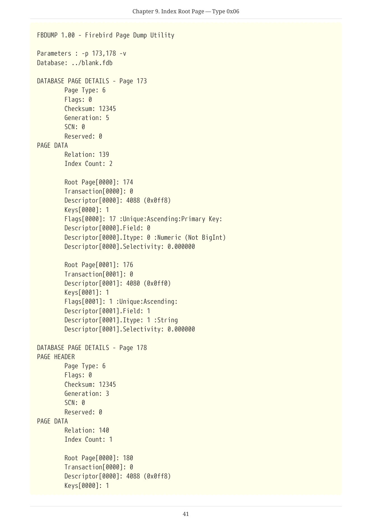```
FBDUMP 1.00 - Firebird Page Dump Utility
Parameters : -p 173,178 -v
Database: ../blank.fdb
DATABASE PAGE DETAILS - Page 173
          Page Type: 6
          Flags: 0
          Checksum: 12345
          Generation: 5
          SCN: 0
          Reserved: 0
PAGE DATA
          Relation: 139
          Index Count: 2
          Root Page[0000]: 174
          Transaction[0000]: 0
          Descriptor[0000]: 4088 (0x0ff8)
          Keys[0000]: 1
          Flags[0000]: 17 :Unique:Ascending:Primary Key:
          Descriptor[0000].Field: 0
          Descriptor[0000].Itype: 0 :Numeric (Not BigInt)
          Descriptor[0000].Selectivity: 0.000000
          Root Page[0001]: 176
          Transaction[0001]: 0
          Descriptor[0001]: 4080 (0x0ff0)
          Keys[0001]: 1
          Flags[0001]: 1 :Unique:Ascending:
          Descriptor[0001].Field: 1
          Descriptor[0001].Itype: 1 :String
          Descriptor[0001].Selectivity: 0.000000
DATABASE PAGE DETAILS - Page 178
PAGE HEADER
          Page Type: 6
          Flags: 0
          Checksum: 12345
          Generation: 3
        SCN: <math>\theta  Reserved: 0
PAGE DATA
          Relation: 140
          Index Count: 1
          Root Page[0000]: 180
          Transaction[0000]: 0
          Descriptor[0000]: 4088 (0x0ff8)
          Keys[0000]: 1
```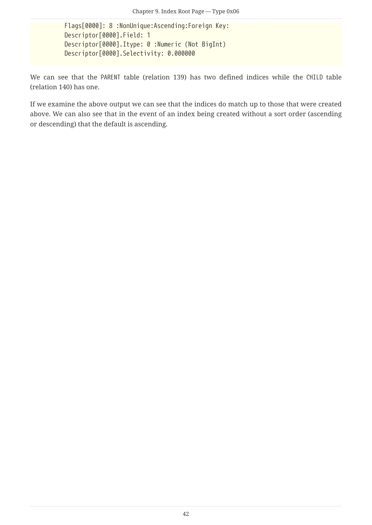Flags[0000]: 8 :NonUnique:Ascending:Foreign Key: Descriptor[0000].Field: 1 Descriptor[0000].Itype: 0 :Numeric (Not BigInt) Descriptor[0000].Selectivity: 0.000000

We can see that the PARENT table (relation 139) has two defined indices while the CHILD table (relation 140) has one.

If we examine the above output we can see that the indices do match up to those that were created above. We can also see that in the event of an index being created without a sort order (ascending or descending) that the default is ascending.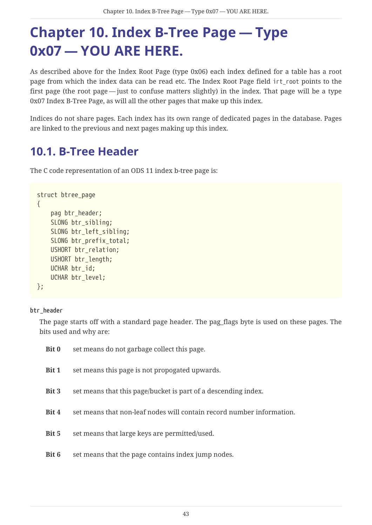# <span id="page-43-0"></span>**Chapter 10. Index B-Tree Page — Type 0x07 — YOU ARE HERE.**

As described above for the Index Root Page (type 0x06) each index defined for a table has a root page from which the index data can be read etc. The Index Root Page field irt root points to the first page (the root page — just to confuse matters slightly) in the index. That page will be a type 0x07 Index B-Tree Page, as will all the other pages that make up this index.

Indices do not share pages. Each index has its own range of dedicated pages in the database. Pages are linked to the previous and next pages making up this index.

### <span id="page-43-1"></span>**10.1. B-Tree Header**

The C code representation of an ODS 11 index b-tree page is:

```
struct btree_page
{
      pag btr_header;
    SLONG btr_sibling;
    SLONG btr left sibling;
      SLONG btr_prefix_total;
    USHORT btr relation;
      USHORT btr_length;
      UCHAR btr_id;
      UCHAR btr_level;
};
```
#### **btr\_header**

The page starts off with a standard page header. The pag\_flags byte is used on these pages. The bits used and why are:

| Bit 0 | set means do not garbage collect this page.                           |
|-------|-----------------------------------------------------------------------|
| Bit 1 | set means this page is not propogated upwards.                        |
| Bit 3 | set means that this page/bucket is part of a descending index.        |
| Bit 4 | set means that non-leaf nodes will contain record number information. |
| Bit 5 | set means that large keys are permitted/used.                         |
| Bit 6 | set means that the page contains index jump nodes.                    |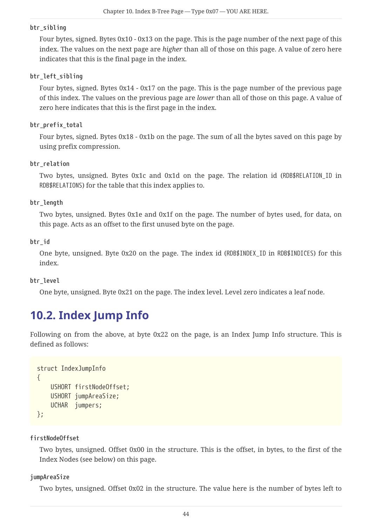#### **btr\_sibling**

Four bytes, signed. Bytes 0x10 - 0x13 on the page. This is the page number of the next page of this index. The values on the next page are *higher* than all of those on this page. A value of zero here indicates that this is the final page in the index.

#### **btr\_left\_sibling**

Four bytes, signed. Bytes 0x14 - 0x17 on the page. This is the page number of the previous page of this index. The values on the previous page are *lower* than all of those on this page. A value of zero here indicates that this is the first page in the index.

#### **btr\_prefix\_total**

Four bytes, signed. Bytes 0x18 - 0x1b on the page. The sum of all the bytes saved on this page by using prefix compression.

#### **btr\_relation**

Two bytes, unsigned. Bytes 0x1c and 0x1d on the page. The relation id (RDB\$RELATION\_ID in RDB\$RELATIONS) for the table that this index applies to.

#### **btr\_length**

Two bytes, unsigned. Bytes 0x1e and 0x1f on the page. The number of bytes used, for data, on this page. Acts as an offset to the first unused byte on the page.

#### **btr\_id**

One byte, unsigned. Byte 0x20 on the page. The index id (RDB\$INDEX\_ID in RDB\$INDICES) for this index.

#### **btr\_level**

One byte, unsigned. Byte 0x21 on the page. The index level. Level zero indicates a leaf node.

### <span id="page-44-0"></span>**10.2. Index Jump Info**

Following on from the above, at byte 0x22 on the page, is an Index Jump Info structure. This is defined as follows:

```
struct IndexJumpInfo
{
      USHORT firstNodeOffset;
      USHORT jumpAreaSize;
      UCHAR jumpers;
};
```
**firstNodeOffset**

Two bytes, unsigned. Offset 0x00 in the structure. This is the offset, in bytes, to the first of the Index Nodes (see below) on this page.

#### **jumpAreaSize**

Two bytes, unsigned. Offset 0x02 in the structure. The value here is the number of bytes left to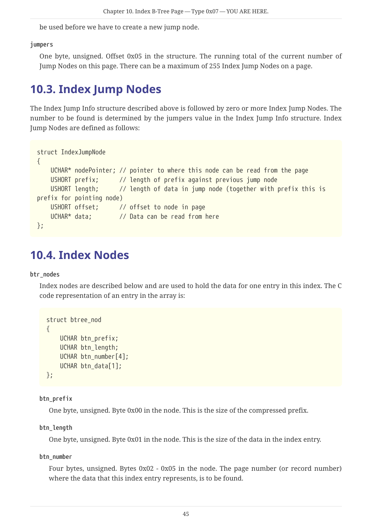be used before we have to create a new jump node.

#### **jumpers**

One byte, unsigned. Offset 0x05 in the structure. The running total of the current number of Jump Nodes on this page. There can be a maximum of 255 Index Jump Nodes on a page.

### <span id="page-45-0"></span>**10.3. Index Jump Nodes**

The Index Jump Info structure described above is followed by zero or more Index Jump Nodes. The number to be found is determined by the jumpers value in the Index Jump Info structure. Index Jump Nodes are defined as follows:

```
struct IndexJumpNode
{
     UCHAR* nodePointer; // pointer to where this node can be read from the page
     USHORT prefix; // length of prefix against previous jump node
     USHORT length; // length of data in jump node (together with prefix this is
prefix for pointing node)
     USHORT offset; // offset to node in page
     UCHAR* data; // Data can be read from here
};
```
### <span id="page-45-1"></span>**10.4. Index Nodes**

#### **btr\_nodes**

Index nodes are described below and are used to hold the data for one entry in this index. The C code representation of an entry in the array is:

```
struct btree_nod
{
      UCHAR btn_prefix;
      UCHAR btn_length;
    UCHAR btn number[4];
    UCHAR btn data[1];
};
```
#### **btn\_prefix**

One byte, unsigned. Byte 0x00 in the node. This is the size of the compressed prefix.

#### **btn\_length**

One byte, unsigned. Byte 0x01 in the node. This is the size of the data in the index entry.

**btn\_number**

Four bytes, unsigned. Bytes 0x02 - 0x05 in the node. The page number (or record number) where the data that this index entry represents, is to be found.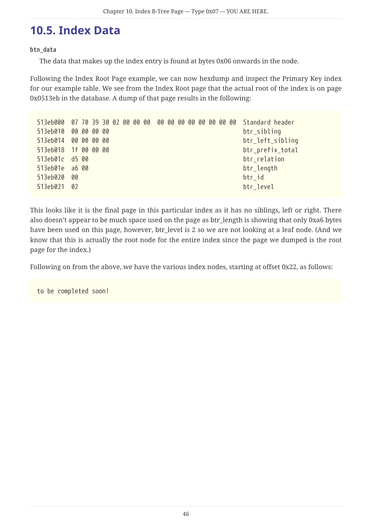### <span id="page-46-0"></span>**10.5. Index Data**

#### **btn\_data**

The data that makes up the index entry is found at bytes 0x06 onwards in the node.

Following the Index Root Page example, we can now hexdump and inspect the Primary Key index for our example table. We see from the Index Root page that the actual root of the index is on page 0x0513eb in the database. A dump of that page results in the following:

|                      |     |  |  |  |  |  |  |  | 513eb000 07 70 39 30 02 00 00 00 00 00 00 00 00 00 00 00 Standard header |
|----------------------|-----|--|--|--|--|--|--|--|--------------------------------------------------------------------------|
| 513eb010 00 00 00 00 |     |  |  |  |  |  |  |  | btr_sibling                                                              |
| 513eb014 00 00 00 00 |     |  |  |  |  |  |  |  | btr_left_sibling                                                         |
| 513eb018 1f 00 00 00 |     |  |  |  |  |  |  |  | btr_prefix_total                                                         |
| 513eb01c d5 00       |     |  |  |  |  |  |  |  | btr_relation                                                             |
| 513eb01e a6 00       |     |  |  |  |  |  |  |  | btr_length                                                               |
| 513eb020             | -00 |  |  |  |  |  |  |  | btr id                                                                   |
| 513eb021 02          |     |  |  |  |  |  |  |  | btr_level                                                                |

This looks like it is the final page in this particular index as it has no siblings, left or right. There also doesn't appear to be much space used on the page as btr\_length is showing that only 0xa6 bytes have been used on this page, however, btr\_level is 2 so we are not looking at a leaf node. (And we know that this is actually the root node for the entire index since the page we dumped is the root page for the index.)

Following on from the above, we have the various index nodes, starting at offset 0x22, as follows:

to be completed soon!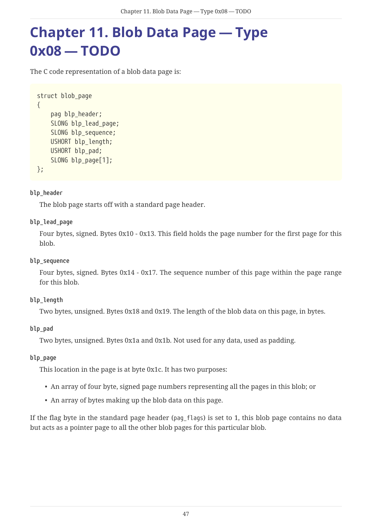## <span id="page-47-0"></span>**Chapter 11. Blob Data Page — Type 0x08 — TODO**

The C code representation of a blob data page is:

```
struct blob_page
{
      pag blp_header;
      SLONG blp_lead_page;
      SLONG blp_sequence;
      USHORT blp_length;
      USHORT blp_pad;
    SLONG blp page[1];
};
```
#### **blp\_header**

The blob page starts off with a standard page header.

#### **blp\_lead\_page**

Four bytes, signed. Bytes 0x10 - 0x13. This field holds the page number for the first page for this blob.

#### **blp\_sequence**

Four bytes, signed. Bytes 0x14 - 0x17. The sequence number of this page within the page range for this blob.

#### **blp\_length**

Two bytes, unsigned. Bytes 0x18 and 0x19. The length of the blob data on this page, in bytes.

#### **blp\_pad**

Two bytes, unsigned. Bytes 0x1a and 0x1b. Not used for any data, used as padding.

#### **blp\_page**

This location in the page is at byte 0x1c. It has two purposes:

- An array of four byte, signed page numbers representing all the pages in this blob; or
- An array of bytes making up the blob data on this page.

If the flag byte in the standard page header (pag\_flags) is set to 1, this blob page contains no data but acts as a pointer page to all the other blob pages for this particular blob.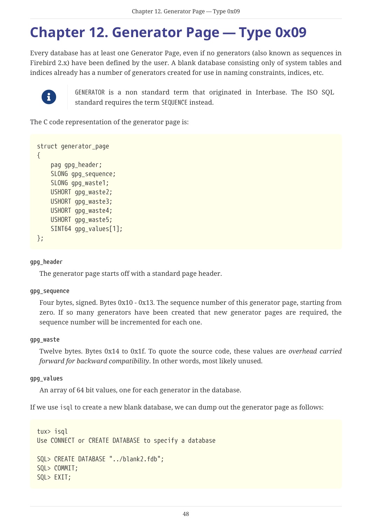## <span id="page-48-0"></span>**Chapter 12. Generator Page — Type 0x09**

Every database has at least one Generator Page, even if no generators (also known as sequences in Firebird 2.x) have been defined by the user. A blank database consisting only of system tables and indices already has a number of generators created for use in naming constraints, indices, etc.



GENERATOR is a non standard term that originated in Interbase. The ISO SQL standard requires the term SEQUENCE instead.

The C code representation of the generator page is:

```
struct generator_page
{
      pag gpg_header;
      SLONG gpg_sequence;
    SLONG gpg waste1;
      USHORT gpg_waste2;
    USHORT gpg waste3;
    USHORT gpg waste4;
      USHORT gpg_waste5;
      SINT64 gpg_values[1];
};
```
#### **gpg\_header**

The generator page starts off with a standard page header.

#### **gpg\_sequence**

Four bytes, signed. Bytes 0x10 - 0x13. The sequence number of this generator page, starting from zero. If so many generators have been created that new generator pages are required, the sequence number will be incremented for each one.

#### **gpg\_waste**

Twelve bytes. Bytes 0x14 to 0x1f. To quote the source code, these values are *overhead carried forward for backward compatibility*. In other words, most likely unused.

#### **gpg\_values**

An array of 64 bit values, one for each generator in the database.

If we use isql to create a new blank database, we can dump out the generator page as follows:

```
tux> isql
Use CONNECT or CREATE DATABASE to specify a database
SQL> CREATE DATABASE "../blank2.fdb";
SQL> COMMIT;
SQL> EXIT;
```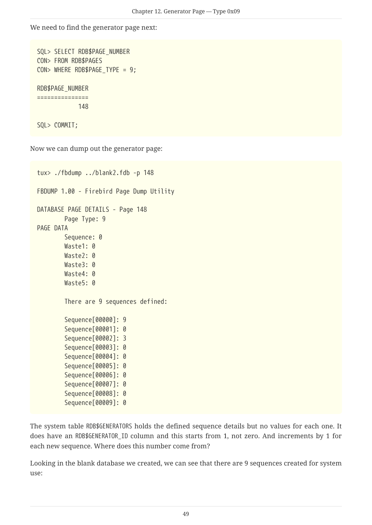We need to find the generator page next:

```
SQL> SELECT RDB$PAGE_NUMBER
CON> FROM RDB$PAGES
CON> WHERE RDB$PAGE_TYPE = 9;
RDB$PAGE_NUMBER
===============
              148
SQL> COMMIT;
```
Now we can dump out the generator page:

```
tux> ./fbdump ../blank2.fdb -p 148
FBDUMP 1.00 - Firebird Page Dump Utility
DATABASE PAGE DETAILS - Page 148
          Page Type: 9
PAGE DATA
          Sequence: 0
          Waste1: 0
        Waste2: 0
        Waste3: 0
          Waste4: 0
          Waste5: 0
          There are 9 sequences defined:
          Sequence[00000]: 9
          Sequence[00001]: 0
          Sequence[00002]: 3
          Sequence[00003]: 0
          Sequence[00004]: 0
          Sequence[00005]: 0
          Sequence[00006]: 0
          Sequence[00007]: 0
          Sequence[00008]: 0
          Sequence[00009]: 0
```
The system table RDB\$GENERATORS holds the defined sequence details but no values for each one. It does have an RDB\$GENERATOR\_ID column and this starts from 1, not zero. And increments by 1 for each new sequence. Where does this number come from?

Looking in the blank database we created, we can see that there are 9 sequences created for system use: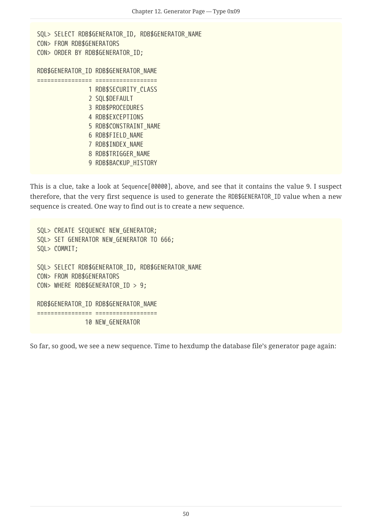```
SQL> SELECT RDB$GENERATOR ID, RDB$GENERATOR NAME
CON> FROM RDB$GENERATORS
CON> ORDER BY RDB$GENERATOR_ID;
RDB$GENERATOR_ID RDB$GENERATOR_NAME
================ ==================
               1 RDB$SECURITY CLASS
                 2 SQL$DEFAULT
                 3 RDB$PROCEDURES
                 4 RDB$EXCEPTIONS
                 5 RDB$CONSTRAINT_NAME
                 6 RDB$FIELD_NAME
                 7 RDB$INDEX_NAME
                 8 RDB$TRIGGER_NAME
                 9 RDB$BACKUP_HISTORY
```
This is a clue, take a look at Sequence[00000], above, and see that it contains the value 9. I suspect therefore, that the very first sequence is used to generate the RDB\$GENERATOR\_ID value when a new sequence is created. One way to find out is to create a new sequence.

SQL> CREATE SEQUENCE NEW GENERATOR; SQL> SET GENERATOR NEW\_GENERATOR TO 666; SQL> COMMIT; SQL> SELECT RDB\$GENERATOR\_ID, RDB\$GENERATOR\_NAME CON> FROM RDB\$GENERATORS CON> WHERE RDB\$GENERATOR\_ID > 9; RDB\$GENERATOR\_ID RDB\$GENERATOR\_NAME ================ ================== 10 NEW\_GENERATOR

So far, so good, we see a new sequence. Time to hexdump the database file's generator page again: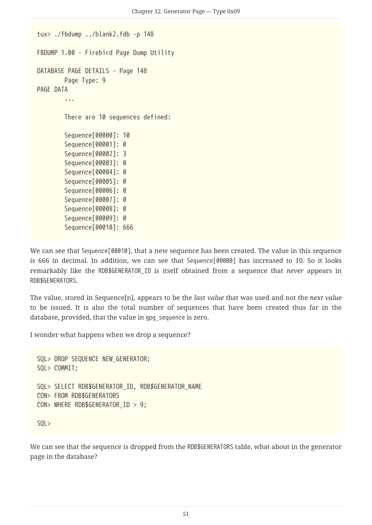```
tux> ./fbdump ../blank2.fdb -p 148
FBDUMP 1.00 - Firebird Page Dump Utility
DATABASE PAGE DETAILS - Page 148
          Page Type: 9
PAGE DATA
           ...
          There are 10 sequences defined:
          Sequence[00000]: 10
          Sequence[00001]: 0
          Sequence[00002]: 3
          Sequence[00003]: 0
          Sequence[00004]: 0
          Sequence[00005]: 0
          Sequence[00006]: 0
          Sequence[00007]: 0
          Sequence[00008]: 0
          Sequence[00009]: 0
          Sequence[00010]: 666
```
We can see that Sequence[00010], that a new sequence has been created. The value in this sequence is 666 in decimal. In addition, we can see that Sequence[00000] has increased to 10. So it looks remarkably like the RDB\$GENERATOR\_ID is itself obtained from a sequence that *never* appears in RDB\$GENERATORS.

The value, stored in Sequence[n], appears to be the *last value* that was used and not the *next value* to be issued. It is also the total number of sequences that have been created thus far in the database, provided, that the value in gpg\_sequence is zero.

I wonder what happens when we drop a sequence?

```
SQL> DROP SEQUENCE NEW_GENERATOR;
SQL> COMMIT;
SQL> SELECT RDB$GENERATOR ID, RDB$GENERATOR NAME
CON> FROM RDB$GENERATORS
CON> WHERE RDB$GENERATOR_ID > 9;
SQL>
```
We can see that the sequence is dropped from the RDB\$GENERATORS table, what about in the generator page in the database?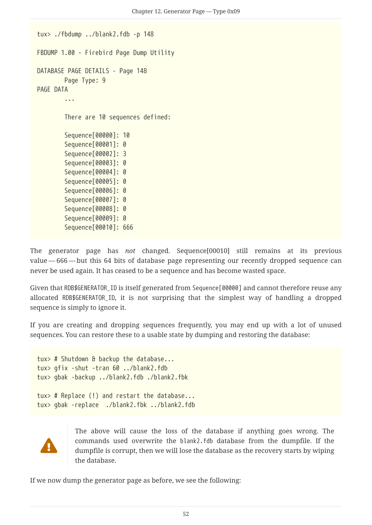```
tux> ./fbdump ../blank2.fdb -p 148
FBDUMP 1.00 - Firebird Page Dump Utility
DATABASE PAGE DETAILS - Page 148
          Page Type: 9
PAGE DATA
           ...
          There are 10 sequences defined:
          Sequence[00000]: 10
          Sequence[00001]: 0
          Sequence[00002]: 3
          Sequence[00003]: 0
          Sequence[00004]: 0
          Sequence[00005]: 0
          Sequence[00006]: 0
          Sequence[00007]: 0
          Sequence[00008]: 0
          Sequence[00009]: 0
          Sequence[00010]: 666
```
The generator page has *not* changed. Sequence[00010] still remains at its previous value — 666 — but this 64 bits of database page representing our recently dropped sequence can never be used again. It has ceased to be a sequence and has become wasted space.

Given that RDB\$GENERATOR\_ID is itself generated from Sequence[00000] and cannot therefore reuse any allocated RDB\$GENERATOR\_ID, it is not surprising that the simplest way of handling a dropped sequence is simply to ignore it.

If you are creating and dropping sequences frequently, you may end up with a lot of unused sequences. You can restore these to a usable state by dumping and restoring the database:

```
tux> # Shutdown & backup the database...
tux> gfix -shut -tran 60 ../blank2.fdb
tux> gbak -backup ../blank2.fdb ./blank2.fbk
tux> # Replace (!) and restart the database...
tux> gbak -replace ./blank2.fbk ../blank2.fdb
```


The above will cause the loss of the database if anything goes wrong. The commands used overwrite the blank2.fdb database from the dumpfile. If the dumpfile is corrupt, then we will lose the database as the recovery starts by wiping the database.

If we now dump the generator page as before, we see the following: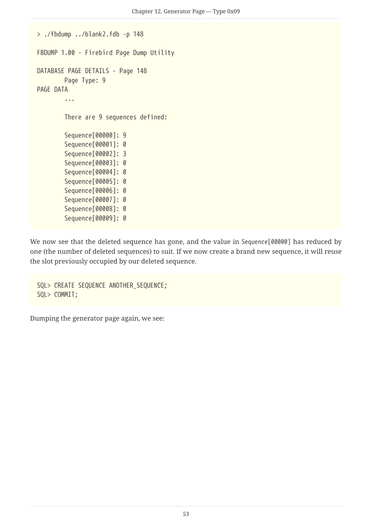```
> ./fbdump ../blank2.fdb -p 148
FBDUMP 1.00 - Firebird Page Dump Utility
DATABASE PAGE DETAILS - Page 148
          Page Type: 9
PAGE DATA
          ...
          There are 9 sequences defined:
          Sequence[00000]: 9
          Sequence[00001]: 0
          Sequence[00002]: 3
          Sequence[00003]: 0
          Sequence[00004]: 0
          Sequence[00005]: 0
          Sequence[00006]: 0
          Sequence[00007]: 0
          Sequence[00008]: 0
          Sequence[00009]: 0
```
We now see that the deleted sequence has gone, and the value in Sequence[00000] has reduced by one (the number of deleted sequences) to suit. If we now create a brand new sequence, it will reuse the slot previously occupied by our deleted sequence.

SQL> CREATE SEQUENCE ANOTHER\_SEQUENCE; SQL> COMMIT;

Dumping the generator page again, we see: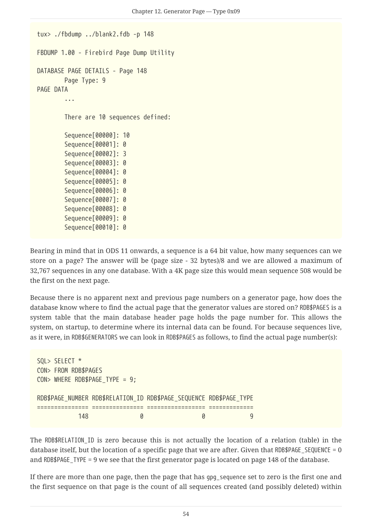```
tux> ./fbdump ../blank2.fdb -p 148
FBDUMP 1.00 - Firebird Page Dump Utility
DATABASE PAGE DETAILS - Page 148
          Page Type: 9
PAGE DATA
           ...
          There are 10 sequences defined:
          Sequence[00000]: 10
          Sequence[00001]: 0
          Sequence[00002]: 3
          Sequence[00003]: 0
          Sequence[00004]: 0
          Sequence[00005]: 0
          Sequence[00006]: 0
          Sequence[00007]: 0
          Sequence[00008]: 0
          Sequence[00009]: 0
          Sequence[00010]: 0
```
Bearing in mind that in ODS 11 onwards, a sequence is a 64 bit value, how many sequences can we store on a page? The answer will be (page size - 32 bytes)/8 and we are allowed a maximum of 32,767 sequences in any one database. With a 4K page size this would mean sequence 508 would be the first on the next page.

Because there is no apparent next and previous page numbers on a generator page, how does the database know where to find the actual page that the generator values are stored on? RDB\$PAGES is a system table that the main database header page holds the page number for. This allows the system, on startup, to determine where its internal data can be found. For because sequences live, as it were, in RDB\$GENERATORS we can look in RDB\$PAGES as follows, to find the actual page number(s):

```
SQL> SELECT *
CON> FROM RDB$PAGES
CON> WHERE RDB$PAGE TYPE = 9;
RDB$PAGE_NUMBER_RDB$RELATION_ID_RDB$PAGE_SEQUENCE_RDB$PAGE_TYPE
=============== =============== ================= =============
  148 0 0 9
```
The RDB\$RELATION ID is zero because this is not actually the location of a relation (table) in the database itself, but the location of a specific page that we are after. Given that RDB\$PAGE\_SEQUENCE = 0 and RDB\$PAGE TYPE = 9 we see that the first generator page is located on page 148 of the database.

If there are more than one page, then the page that has gpg\_sequence set to zero is the first one and the first sequence on that page is the count of all sequences created (and possibly deleted) within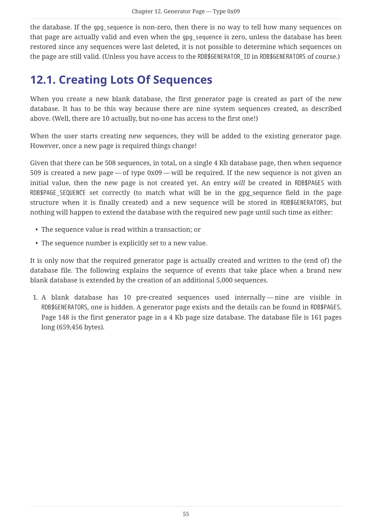the database. If the gpg\_sequence is non-zero, then there is no way to tell how many sequences on that page are actually valid and even when the gpg\_sequence is zero, unless the database has been restored since any sequences were last deleted, it is not possible to determine which sequences on the page are still valid. (Unless you have access to the RDB\$GENERATOR\_ID in RDB\$GENERATORS of course.)

### <span id="page-55-0"></span>**12.1. Creating Lots Of Sequences**

When you create a new blank database, the first generator page is created as part of the new database. It has to be this way because there are nine system sequences created, as described above. (Well, there are 10 actually, but no-one has access to the first one!)

When the user starts creating new sequences, they will be added to the existing generator page. However, once a new page is required things change!

Given that there can be 508 sequences, in total, on a single 4 Kb database page, then when sequence 509 is created a new page — of type 0x09 — will be required. If the new sequence is not given an initial value, then the new page is not created yet. An entry *will* be created in RDB\$PAGES with RDB\$PAGE\_SEQUENCE set correctly (to match what will be in the gpg\_sequence field in the page structure when it is finally created) and a new sequence will be stored in RDB\$GENERATORS, but nothing will happen to extend the database with the required new page until such time as either:

- The sequence value is read within a transaction; or
- The sequence number is explicitly set to a new value.

It is only now that the required generator page is actually created and written to the (end of) the database file. The following explains the sequence of events that take place when a brand new blank database is extended by the creation of an additional 5,000 sequences.

1. A blank database has 10 pre-created sequences used internally — nine are visible in RDB\$GENERATORS, one is hidden. A generator page exists and the details can be found in RDB\$PAGES. Page 148 is the first generator page in a 4 Kb page size database. The database file is 161 pages long (659,456 bytes).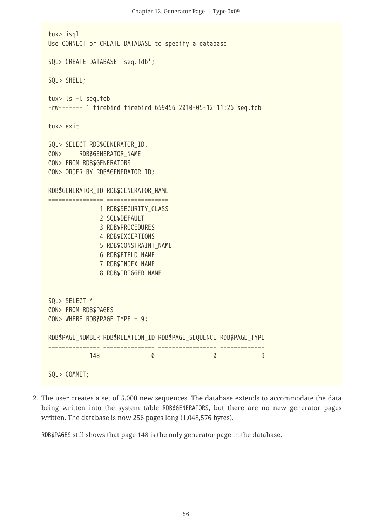```
tux> isql
Use CONNECT or CREATE DATABASE to specify a database
SQL> CREATE DATABASE 'seq.fdb';
SQL> SHELL;
tux> ls -l seq.fdb
-rw------- 1 firebird firebird 659456 2010-05-12 11:26 seq.fdb
tux> exit
SQL> SELECT RDB$GENERATOR_ID,
CON> RDB$GENERATOR NAME
CON> FROM RDB$GENERATORS
CON> ORDER BY RDB$GENERATOR_ID;
RDB$GENERATOR_ID RDB$GENERATOR_NAME
================ ==================
              1 RDB$SECURITY CLASS
                2 SQL$DEFAULT
                3 RDB$PROCEDURES
                4 RDB$EXCEPTIONS
                5 RDB$CONSTRAINT_NAME
                6 RDB$FIELD_NAME
                7 RDB$INDEX_NAME
                8 RDB$TRIGGER_NAME
SQL> SELECT *
CON> FROM RDB$PAGES
CON> WHERE RDB$PAGE_TYPE = 9;
RDB$PAGE_NUMBER_RDB$RELATION_ID_RDB$PAGE_SEQUENCE_RDB$PAGE_TYPE
=============== =============== ================= =============
  148 0 0 9
SQL> COMMIT;
```
2. The user creates a set of 5,000 new sequences. The database extends to accommodate the data being written into the system table RDB\$GENERATORS, but there are no new generator pages written. The database is now 256 pages long (1,048,576 bytes).

RDB\$PAGES still shows that page 148 is the only generator page in the database.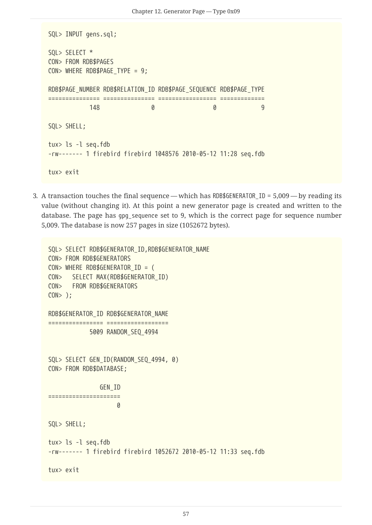```
SQL> INPUT gens.sql;
SQL> SELECT *
CON> FROM RDB$PAGES
CON> WHERE RDB$PAGE_TYPE = 9;
RDB$PAGE_NUMBER_RDB$RELATION_ID_RDB$PAGE_SEQUENCE_RDB$PAGE_TYPE
=============== =============== ================= =============
  148 0 0 9
SQL> SHELL;
tux> ls -l seq.fdb
-rw------- 1 firebird firebird 1048576 2010-05-12 11:28 seq.fdb
tux> exit
```
3. A transaction touches the final sequence — which has RDB\$GENERATOR\_ID =  $5,009$  — by reading its value (without changing it). At this point a new generator page is created and written to the database. The page has gpg\_sequence set to 9, which is the correct page for sequence number 5,009. The database is now 257 pages in size (1052672 bytes).

```
SQL> SELECT RDB$GENERATOR_ID,RDB$GENERATOR_NAME
CON> FROM RDB$GENERATORS
CON> WHERE RDB$GENERATOR_ID = (
CON> SELECT MAX(RDB$GENERATOR_ID)
CON> FROM RDB$GENERATORS
CON> );
RDB$GENERATOR_ID RDB$GENERATOR_NAME
<u>===============================</u>==
              5009 RANDOM_SEQ_4994
SQL> SELECT GEN_ID(RANDOM_SEQ_4994, 0)
CON> FROM RDB$DATABASE;
                 GEN_ID
=====================
<u>0</u>
SQL> SHELL;
tux> ls -l seq.fdb
-rw------- 1 firebird firebird 1052672 2010-05-12 11:33 seq.fdb
tux> exit
```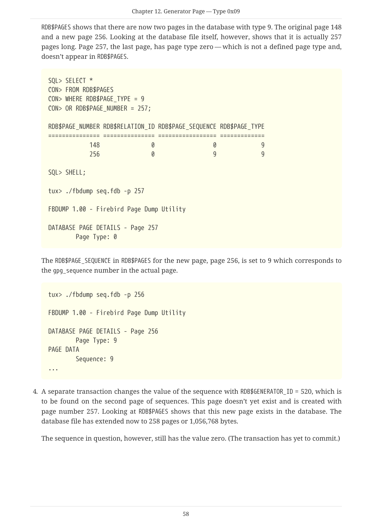RDB\$PAGES shows that there are now two pages in the database with type 9. The original page 148 and a new page 256. Looking at the database file itself, however, shows that it is actually 257 pages long. Page 257, the last page, has page type zero — which is not a defined page type and, doesn't appear in RDB\$PAGES.

SQL> SELECT \* CON> FROM RDB\$PAGES CON> WHERE RDB\$PAGE TYPE = 9 CON> OR RDB\$PAGE\_NUMBER = 257; RDB\$PAGE\_NUMBER\_RDB\$RELATION\_ID\_RDB\$PAGE\_SEQUENCE\_RDB\$PAGE\_TYPE =============== =============== ================= ============= 148 0 0 9 256 0 9 9 SQL> SHELL; tux> ./fbdump seq.fdb -p 257 FBDUMP 1.00 - Firebird Page Dump Utility DATABASE PAGE DETAILS - Page 257 Page Type: 0

The RDB\$PAGE\_SEQUENCE in RDB\$PAGES for the new page, page 256, is set to 9 which corresponds to the gpg sequence number in the actual page.

tux> ./fbdump seq.fdb -p 256 FBDUMP 1.00 - Firebird Page Dump Utility DATABASE PAGE DETAILS - Page 256 Page Type: 9 PAGE DATA Sequence: 9 ...

4. A separate transaction changes the value of the sequence with RDB\$GENERATOR\_ID = 520, which is to be found on the second page of sequences. This page doesn't yet exist and is created with page number 257. Looking at RDB\$PAGES shows that this new page exists in the database. The database file has extended now to 258 pages or 1,056,768 bytes.

The sequence in question, however, still has the value zero. (The transaction has yet to commit.)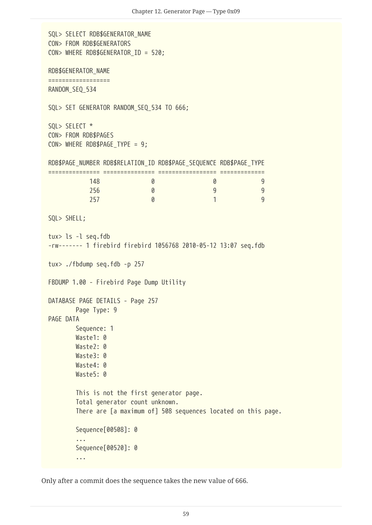```
SQL> SELECT RDB$GENERATOR NAME
CON> FROM RDB$GENERATORS
CON> WHERE RDB$GENERATOR_ID = 520;
RDB$GENERATOR_NAME
==================
RANDOM_SEQ_534
SQL> SET GENERATOR RANDOM_SEQ_534 TO 666;
SQL> SELECT *
CON> FROM RDB$PAGES
CON> WHERE RDB$PAGE TYPE = 9;
RDB$PAGE_NUMBER RDB$RELATION_ID RDB$PAGE_SEQUENCE RDB$PAGE_TYPE
=============== =============== ================= =============
  148 0 0 9
  256 0 9 9
  257 0 1 9
SQL> SHELL;
tux> ls -l seq.fdb
-rw------- 1 firebird firebird 1056768 2010-05-12 13:07 seq.fdb
tux> ./fbdump seq.fdb -p 257
FBDUMP 1.00 - Firebird Page Dump Utility
DATABASE PAGE DETAILS - Page 257
         Page Type: 9
PAGE DATA
         Sequence: 1
         Waste1: 0
       Waste2: 0
       Waste3: 0
         Waste4: 0
       Waste5: 0
         This is not the first generator page.
         Total generator count unknown.
         There are [a maximum of] 508 sequences located on this page.
         Sequence[00508]: 0
         ...
         Sequence[00520]: 0
         ...
```
Only after a commit does the sequence takes the new value of 666.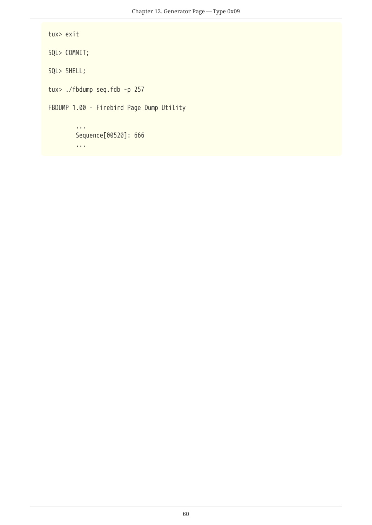```
tux> exit
SQL> COMMIT;
SQL> SHELL;
tux> ./fbdump seq.fdb -p 257
FBDUMP 1.00 - Firebird Page Dump Utility
          ...
          Sequence[00520]: 666
          ...
```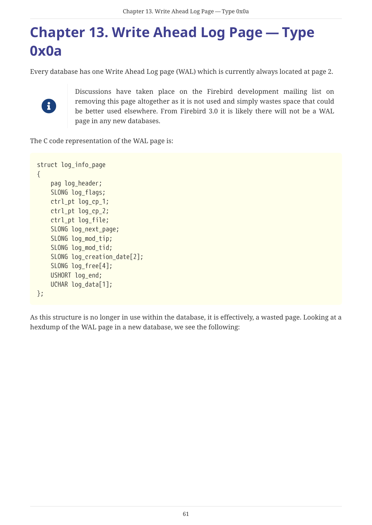# <span id="page-61-0"></span>**Chapter 13. Write Ahead Log Page — Type 0x0a**

Every database has one Write Ahead Log page (WAL) which is currently always located at page 2.



Discussions have taken place on the Firebird development mailing list on removing this page altogether as it is not used and simply wastes space that could be better used elsewhere. From Firebird 3.0 it is likely there will not be a WAL page in any new databases.

The C code representation of the WAL page is:

```
struct log_info_page
{
      pag log_header;
      SLONG log_flags;
      ctrl_pt log_cp_1;
      ctrl_pt log_cp_2;
      ctrl_pt log_file;
    SLONG log next page;
      SLONG log_mod_tip;
      SLONG log_mod_tid;
    SLONG log creation date[2];
      SLONG log_free[4];
      USHORT log_end;
    UCHAR log data[1];
};
```
As this structure is no longer in use within the database, it is effectively, a wasted page. Looking at a hexdump of the WAL page in a new database, we see the following: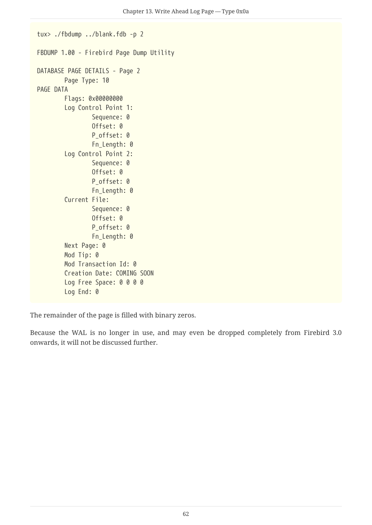```
tux> ./fbdump ../blank.fdb -p 2
FBDUMP 1.00 - Firebird Page Dump Utility
DATABASE PAGE DETAILS - Page 2
          Page Type: 10
PAGE DATA
          Flags: 0x00000000
          Log Control Point 1:
                   Sequence: 0
                   Offset: 0
                 P offset: 0
                   Fn_Length: 0
          Log Control Point 2:
                   Sequence: 0
                   Offset: 0
                 P offset: 0
                   Fn_Length: 0
          Current File:
                   Sequence: 0
                   Offset: 0
                 P offset: 0
                   Fn_Length: 0
          Next Page: 0
          Mod Tip: 0
          Mod Transaction Id: 0
          Creation Date: COMING SOON
        Log Free Space: 0 0 0 0
          Log End: 0
```
The remainder of the page is filled with binary zeros.

Because the WAL is no longer in use, and may even be dropped completely from Firebird 3.0 onwards, it will not be discussed further.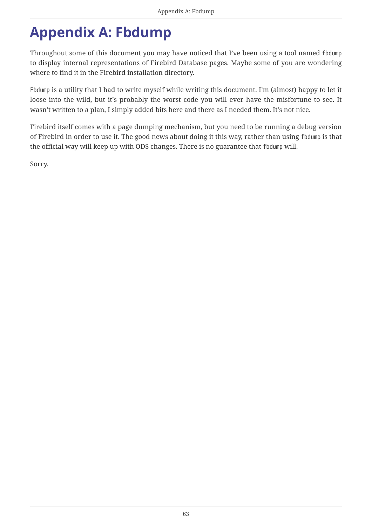# <span id="page-63-0"></span>**Appendix A: Fbdump**

Throughout some of this document you may have noticed that I've been using a tool named fbdump to display internal representations of Firebird Database pages. Maybe some of you are wondering where to find it in the Firebird installation directory.

Fbdump is a utility that I had to write myself while writing this document. I'm (almost) happy to let it loose into the wild, but it's probably the worst code you will ever have the misfortune to see. It wasn't written to a plan, I simply added bits here and there as I needed them. It's not nice.

Firebird itself comes with a page dumping mechanism, but you need to be running a debug version of Firebird in order to use it. The good news about doing it this way, rather than using fbdump is that the official way will keep up with ODS changes. There is no guarantee that fbdump will.

Sorry.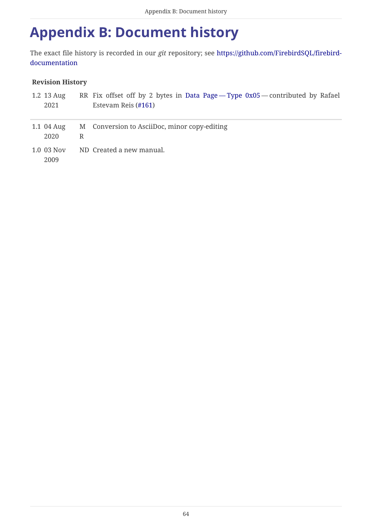## <span id="page-64-0"></span>**Appendix B: Document history**

The exact file history is recorded in our *git* repository; see [https://github.com/FirebirdSQL/firebird](https://github.com/FirebirdSQL/firebird-documentation)[documentation](https://github.com/FirebirdSQL/firebird-documentation)

#### **Revision History**

| 1.2 13 Aug<br>2021 |   | RR Fix offset off by 2 bytes in Data Page - Type 0x05 - contributed by Rafael<br>Estevam Reis (#161) |
|--------------------|---|------------------------------------------------------------------------------------------------------|
| 1.1 04 Aug<br>2020 | R | M Conversion to AsciiDoc, minor copy-editing                                                         |
| 1.0 03 Nov<br>2009 |   | ND Created a new manual.                                                                             |